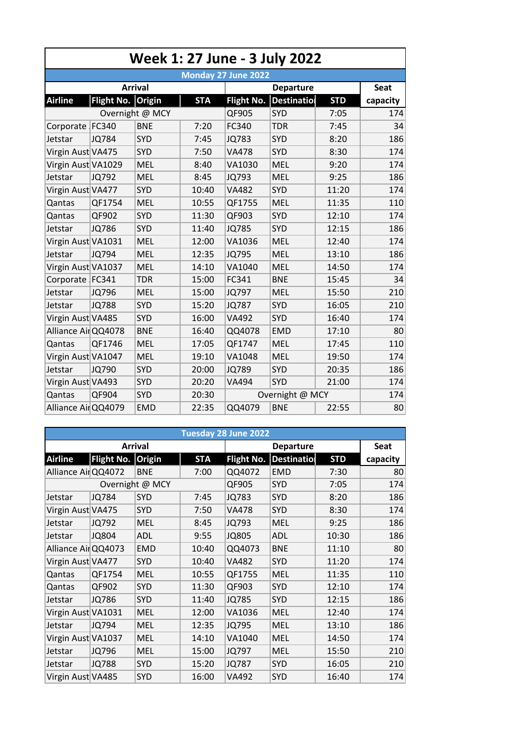| Week 1: 27 June - 3 July 2022 |                                                 |                 |            |              |                    |            |             |  |  |  |  |  |
|-------------------------------|-------------------------------------------------|-----------------|------------|--------------|--------------------|------------|-------------|--|--|--|--|--|
| Monday 27 June 2022           |                                                 |                 |            |              |                    |            |             |  |  |  |  |  |
|                               |                                                 | <b>Arrival</b>  |            |              | <b>Departure</b>   |            | <b>Seat</b> |  |  |  |  |  |
| <b>Airline</b>                | Flight No. Origin                               |                 | <b>STA</b> | Flight No.   | <b>Destination</b> | <b>STD</b> | capacity    |  |  |  |  |  |
|                               |                                                 | Overnight @ MCY |            | QF905        | <b>SYD</b>         | 7:05       | 174         |  |  |  |  |  |
| Corporate FC340               |                                                 | <b>BNE</b>      | 7:20       | FC340        | <b>TDR</b>         | 7:45       | 34          |  |  |  |  |  |
| Jetstar                       | JQ784                                           | <b>SYD</b>      | 7:45       | JQ783        | <b>SYD</b>         | 8:20       | 186         |  |  |  |  |  |
| Virgin Aust VA475             |                                                 | <b>SYD</b>      | 7:50       | <b>VA478</b> | <b>SYD</b>         | 8:30       | 174         |  |  |  |  |  |
| Virgin Aust VA1029            |                                                 | <b>MEL</b>      | 8:40       | VA1030       | <b>MEL</b>         | 9:20       | 174         |  |  |  |  |  |
| Jetstar                       | JQ792                                           | <b>MEL</b>      | 8:45       | JQ793        | MEL                | 9:25       | 186         |  |  |  |  |  |
| Virgin Aust VA477             |                                                 | <b>SYD</b>      | 10:40      | <b>VA482</b> | SYD                | 11:20      | 174         |  |  |  |  |  |
| Qantas                        | QF1754                                          | <b>MEL</b>      | 10:55      | QF1755       | <b>MEL</b>         | 11:35      | 110         |  |  |  |  |  |
| Qantas                        | QF902                                           | SYD             | 11:30      | QF903        | <b>SYD</b>         | 12:10      | 174         |  |  |  |  |  |
| Jetstar                       | JQ786                                           | <b>SYD</b>      | 11:40      | <b>JQ785</b> | <b>SYD</b>         | 12:15      | 186         |  |  |  |  |  |
| Virgin Aust VA1031            |                                                 | <b>MEL</b>      | 12:00      | VA1036       | <b>MEL</b>         | 12:40      | 174         |  |  |  |  |  |
| Jetstar                       | JQ794                                           | <b>MEL</b>      | 12:35      | JQ795        | <b>MEL</b>         | 13:10      | 186         |  |  |  |  |  |
| Virgin Aust VA1037            |                                                 | <b>MEL</b>      | 14:10      | VA1040       | <b>MEL</b>         | 14:50      | 174         |  |  |  |  |  |
| Corporate FC341               |                                                 | <b>TDR</b>      | 15:00      | FC341        | <b>BNE</b>         | 15:45      | 34          |  |  |  |  |  |
| Jetstar                       | JQ796                                           | <b>MEL</b>      | 15:00      | JQ797        | MEL                | 15:50      | 210         |  |  |  |  |  |
| Jetstar                       | <b>JQ788</b>                                    | <b>SYD</b>      | 15:20      | <b>JQ787</b> | <b>SYD</b>         | 16:05      | 210         |  |  |  |  |  |
| Virgin Aust VA485             |                                                 | <b>SYD</b>      | 16:00      | <b>VA492</b> | <b>SYD</b>         | 16:40      | 174         |  |  |  |  |  |
| Alliance Air QQ4078           |                                                 | <b>BNE</b>      | 16:40      | QQ4078       | <b>EMD</b>         | 17:10      | 80          |  |  |  |  |  |
| Qantas                        | QF1746                                          | <b>MEL</b>      | 17:05      | QF1747       | <b>MEL</b>         | 17:45      | 110         |  |  |  |  |  |
| Virgin Aust VA1047            |                                                 | <b>MEL</b>      | 19:10      | VA1048       | <b>MEL</b>         | 19:50      | 174         |  |  |  |  |  |
| Jetstar                       | JQ790                                           | <b>SYD</b>      | 20:00      | <b>JQ789</b> | <b>SYD</b>         | 20:35      | 186         |  |  |  |  |  |
| Virgin Aust VA493             |                                                 | <b>SYD</b>      | 20:20      | VA494        | SYD                | 21:00      | 174         |  |  |  |  |  |
| Qantas                        | QF904<br><b>SYD</b><br>20:30<br>Overnight @ MCY |                 |            |              |                    | 174        |             |  |  |  |  |  |
| Alliance Air QQ4079           |                                                 | <b>EMD</b>      | 22:35      | QQ4079       | <b>BNE</b>         | 22:55      | 80          |  |  |  |  |  |

|                     | Tuesday 28 June 2022 |                |            |                   |            |             |          |  |  |  |  |  |
|---------------------|----------------------|----------------|------------|-------------------|------------|-------------|----------|--|--|--|--|--|
|                     |                      | <b>Arrival</b> |            |                   |            | <b>Seat</b> |          |  |  |  |  |  |
| <b>Airline</b>      | <b>Flight No.</b>    | <b>Origin</b>  | <b>STA</b> | <b>Flight No.</b> | Destinatio | <b>STD</b>  | capacity |  |  |  |  |  |
| Alliance Air QQ4072 |                      | <b>BNE</b>     | 7:00       | QQ4072            | <b>EMD</b> | 7:30        | 80       |  |  |  |  |  |
| Overnight @ MCY     |                      |                |            | QF905             | <b>SYD</b> | 7:05        | 174      |  |  |  |  |  |
| Jetstar             | <b>JQ784</b>         | <b>SYD</b>     | 7:45       | JQ783             | <b>SYD</b> | 8:20        | 186      |  |  |  |  |  |
| Virgin Aust VA475   |                      | SYD            | 7:50       | VA478             | SYD        | 8:30        | 174      |  |  |  |  |  |
| Jetstar             | JQ792                | <b>MEL</b>     | 8:45       | JQ793             | <b>MEL</b> | 9:25        | 186      |  |  |  |  |  |
| Jetstar             | <b>JQ804</b>         | <b>ADL</b>     | 9:55       | <b>JQ805</b>      | <b>ADL</b> | 10:30       | 186      |  |  |  |  |  |
| Alliance AirQQ4073  |                      | <b>EMD</b>     | 10:40      | QQ4073            | <b>BNE</b> | 11:10       | 80       |  |  |  |  |  |
| Virgin Aust VA477   |                      | <b>SYD</b>     | 10:40      | <b>VA482</b>      | <b>SYD</b> | 11:20       | 174      |  |  |  |  |  |
| Qantas              | QF1754               | <b>MEL</b>     | 10:55      | QF1755            | <b>MEL</b> | 11:35       | 110      |  |  |  |  |  |
| Qantas              | QF902                | <b>SYD</b>     | 11:30      | QF903             | <b>SYD</b> | 12:10       | 174      |  |  |  |  |  |
| Jetstar             | JQ786                | <b>SYD</b>     | 11:40      | <b>JQ785</b>      | <b>SYD</b> | 12:15       | 186      |  |  |  |  |  |
| Virgin Aust VA1031  |                      | <b>MEL</b>     | 12:00      | VA1036            | <b>MEL</b> | 12:40       | 174      |  |  |  |  |  |
| Jetstar             | JQ794                | <b>MEL</b>     | 12:35      | JQ795             | <b>MEL</b> | 13:10       | 186      |  |  |  |  |  |
| Virgin Aust VA1037  |                      | <b>MEL</b>     | 14:10      | VA1040            | <b>MEL</b> | 14:50       | 174      |  |  |  |  |  |
| Jetstar             | JQ796                | <b>MEL</b>     | 15:00      | JQ797             | <b>MEL</b> | 15:50       | 210      |  |  |  |  |  |
| Jetstar             | <b>JQ788</b>         | SYD            | 15:20      | <b>JQ787</b>      | SYD        | 16:05       | 210      |  |  |  |  |  |
| Virgin Aust VA485   |                      | <b>SYD</b>     | 16:00      | VA492             | <b>SYD</b> | 16:40       | 174      |  |  |  |  |  |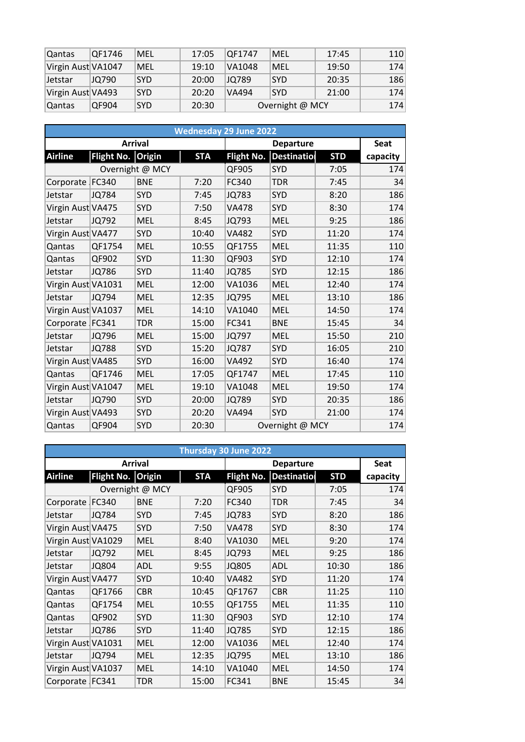| Qantas             | OF1746 | MEL        | 17:05 | OF1747 | MEL             | 17:45 | 110 |
|--------------------|--------|------------|-------|--------|-----------------|-------|-----|
| Virgin Aust VA1047 |        | MEL        | 19:10 | VA1048 | MEL             | 19:50 | 174 |
| Jetstar            | JQ790  | <b>SYD</b> | 20:00 | JQ789  | <b>SYD</b>      | 20:35 | 186 |
| Virgin Aust VA493  |        | <b>SYD</b> | 20:20 | VA494  | <b>SYD</b>      | 21:00 | 174 |
| Qantas             | QF904  | <b>SYD</b> | 20:30 |        | Overnight @ MCY |       | 174 |

|                    |                   |                 |            | <b>Wednesday 29 June 2022</b> |                 |             |          |
|--------------------|-------------------|-----------------|------------|-------------------------------|-----------------|-------------|----------|
|                    |                   | <b>Arrival</b>  |            |                               |                 | <b>Seat</b> |          |
| <b>Airline</b>     | <b>Flight No.</b> | <b>Origin</b>   | <b>STA</b> | Flight No.                    | Destinatio      | <b>STD</b>  | capacity |
|                    |                   | Overnight @ MCY |            | QF905                         | SYD             | 7:05        | 174      |
| Corporate   FC340  |                   | <b>BNE</b>      | 7:20       | FC340                         | <b>TDR</b>      | 7:45        | 34       |
| Jetstar            | <b>JQ784</b>      | <b>SYD</b>      | 7:45       | JQ783                         | <b>SYD</b>      | 8:20        | 186      |
| Virgin Aust VA475  |                   | <b>SYD</b>      | 7:50       | <b>VA478</b>                  | <b>SYD</b>      | 8:30        | 174      |
| Jetstar            | JQ792             | <b>MEL</b>      | 8:45       | JQ793                         | <b>MEL</b>      | 9:25        | 186      |
| Virgin Aust VA477  |                   | SYD             | 10:40      | <b>VA482</b>                  | <b>SYD</b>      | 11:20       | 174      |
| Qantas             | QF1754            | <b>MEL</b>      | 10:55      | QF1755                        | <b>MEL</b>      | 11:35       | 110      |
| Qantas             | QF902             | SYD             | 11:30      | QF903                         | <b>SYD</b>      | 12:10       | 174      |
| Jetstar            | <b>JQ786</b>      | SYD             | 11:40      | <b>JQ785</b>                  | <b>SYD</b>      | 12:15       | 186      |
| Virgin Aust VA1031 |                   | <b>MEL</b>      | 12:00      | VA1036                        | <b>MEL</b>      | 12:40       | 174      |
| Jetstar            | JQ794             | <b>MEL</b>      | 12:35      | <b>JQ795</b>                  | <b>MEL</b>      | 13:10       | 186      |
| Virgin Aust VA1037 |                   | <b>MEL</b>      | 14:10      | VA1040                        | <b>MEL</b>      | 14:50       | 174      |
| Corporate FC341    |                   | <b>TDR</b>      | 15:00      | FC341                         | <b>BNE</b>      | 15:45       | 34       |
| Jetstar            | JQ796             | <b>MEL</b>      | 15:00      | JQ797                         | <b>MEL</b>      | 15:50       | 210      |
| Jetstar            | <b>JQ788</b>      | SYD             | 15:20      | <b>JQ787</b>                  | <b>SYD</b>      | 16:05       | 210      |
| Virgin Aust VA485  |                   | <b>SYD</b>      | 16:00      | VA492                         | <b>SYD</b>      | 16:40       | 174      |
| Qantas             | QF1746            | <b>MEL</b>      | 17:05      | QF1747                        | <b>MEL</b>      | 17:45       | 110      |
| Virgin Aust VA1047 |                   | <b>MEL</b>      | 19:10      | VA1048                        | <b>MEL</b>      | 19:50       | 174      |
| Jetstar            | JQ790             | <b>SYD</b>      | 20:00      | JQ789                         | <b>SYD</b>      | 20:35       | 186      |
| Virgin Aust VA493  |                   | <b>SYD</b>      | 20:20      | VA494                         | <b>SYD</b>      | 21:00       | 174      |
| Qantas             | QF904             | <b>SYD</b>      | 20:30      |                               | Overnight @ MCY |             | 174      |

|                    |                   |                 |            | Thursday 30 June 2022 |                    |            |          |
|--------------------|-------------------|-----------------|------------|-----------------------|--------------------|------------|----------|
|                    |                   | <b>Arrival</b>  |            |                       | <b>Departure</b>   |            | Seat     |
| <b>Airline</b>     | Flight No. Origin |                 | <b>STA</b> | Flight No.            | <b>Destination</b> | <b>STD</b> | capacity |
|                    |                   | Overnight @ MCY |            | QF905                 | SYD                | 7:05       | 174      |
| Corporate FC340    |                   | <b>BNE</b>      | 7:20       | FC340                 | <b>TDR</b>         | 7:45       | 34       |
| Jetstar            | <b>JQ784</b>      | <b>SYD</b>      | 7:45       | <b>JQ783</b>          | <b>SYD</b>         | 8:20       | 186      |
| Virgin Aust VA475  |                   | SYD             | 7:50       | VA478                 | <b>SYD</b>         | 8:30       | 174      |
| Virgin Aust VA1029 |                   | <b>MEL</b>      | 8:40       | VA1030                | <b>MEL</b>         | 9:20       | 174      |
| Jetstar            | JQ792             | <b>MEL</b>      | 8:45       | JQ793                 | <b>MEL</b>         | 9:25       | 186      |
| Jetstar            | <b>JQ804</b>      | <b>ADL</b>      | 9:55       | <b>JQ805</b>          | <b>ADL</b>         | 10:30      | 186      |
| Virgin Aust VA477  |                   | SYD             | 10:40      | <b>VA482</b>          | <b>SYD</b>         | 11:20      | 174      |
| Qantas             | QF1766            | <b>CBR</b>      | 10:45      | QF1767                | <b>CBR</b>         | 11:25      | 110      |
| Qantas             | QF1754            | <b>MEL</b>      | 10:55      | QF1755                | <b>MEL</b>         | 11:35      | 110      |
| Qantas             | QF902             | SYD             | 11:30      | QF903                 | <b>SYD</b>         | 12:10      | 174      |
| Jetstar            | <b>JQ786</b>      | SYD             | 11:40      | <b>JQ785</b>          | <b>SYD</b>         | 12:15      | 186      |
| Virgin Aust VA1031 |                   | <b>MEL</b>      | 12:00      | VA1036                | <b>MEL</b>         | 12:40      | 174      |
| Jetstar            | JQ794             | <b>MEL</b>      | 12:35      | JQ795                 | <b>MEL</b>         | 13:10      | 186      |
| Virgin Aust VA1037 |                   | <b>MEL</b>      | 14:10      | VA1040                | <b>MEL</b>         | 14:50      | 174      |
| Corporate FC341    |                   | <b>TDR</b>      | 15:00      | FC341                 | <b>BNE</b>         | 15:45      | 34       |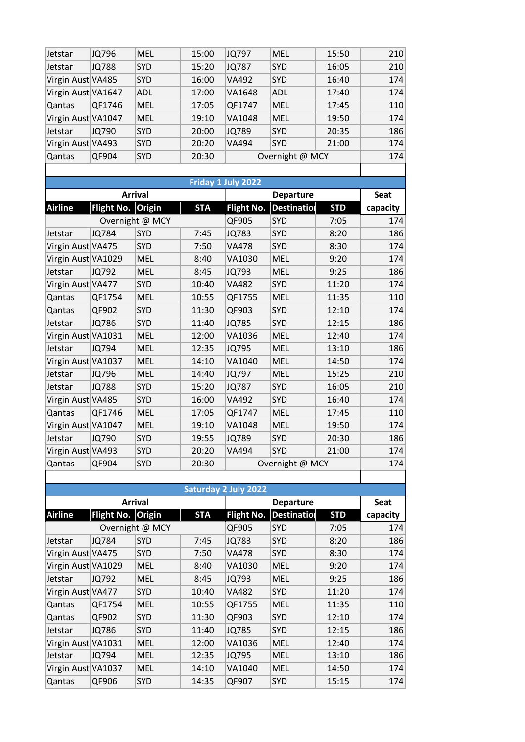| Jetstar            | <b>JQ796</b> | <b>MEL</b> | 15:00 | JQ797        | <b>MEL</b>      | 15:50 | 210 |
|--------------------|--------------|------------|-------|--------------|-----------------|-------|-----|
| Jetstar            | <b>JQ788</b> | <b>SYD</b> | 15:20 | <b>JQ787</b> | <b>SYD</b>      | 16:05 | 210 |
| Virgin Aust VA485  |              | <b>SYD</b> | 16:00 | <b>VA492</b> | <b>SYD</b>      | 16:40 | 174 |
| Virgin Aust VA1647 |              | <b>ADL</b> | 17:00 | VA1648       | <b>ADL</b>      | 17:40 | 174 |
| Qantas             | QF1746       | <b>MEL</b> | 17:05 | QF1747       | <b>MEL</b>      | 17:45 | 110 |
| Virgin Aust VA1047 |              | <b>MEL</b> | 19:10 | VA1048       | <b>MEL</b>      | 19:50 | 174 |
| Jetstar            | JQ790        | <b>SYD</b> | 20:00 | JQ789        | <b>SYD</b>      | 20:35 | 186 |
| Virgin Aust VA493  |              | <b>SYD</b> | 20:20 | <b>VA494</b> | <b>SYD</b>      | 21:00 | 174 |
| Qantas             | QF904        | SYD        | 20:30 |              | Overnight @ MCY |       | 174 |
|                    |              |            |       |              |                 |       |     |

|                    |                   | <b>Arrival</b>  |            |                   | <b>Departure</b>   |            | <b>Seat</b> |
|--------------------|-------------------|-----------------|------------|-------------------|--------------------|------------|-------------|
| <b>Airline</b>     | <b>Flight No.</b> | <b>Origin</b>   | <b>STA</b> | <b>Flight No.</b> | <b>Destination</b> | <b>STD</b> | capacity    |
|                    |                   | Overnight @ MCY |            | QF905             | SYD                | 7:05       | 174         |
| Jetstar            | <b>JQ784</b>      | SYD             | 7:45       | <b>JQ783</b>      | SYD                | 8:20       | 186         |
| Virgin Aust VA475  |                   | SYD             | 7:50       | <b>VA478</b>      | <b>SYD</b>         | 8:30       | 174         |
| Virgin Aust VA1029 |                   | <b>MEL</b>      | 8:40       | VA1030            | <b>MEL</b>         | 9:20       | 174         |
| Jetstar            | JQ792             | MEL             | 8:45       | <b>JQ793</b>      | <b>MEL</b>         | 9:25       | 186         |
| Virgin Aust VA477  |                   | SYD             | 10:40      | <b>VA482</b>      | <b>SYD</b>         | 11:20      | 174         |
| Qantas             | QF1754            | MEL             | 10:55      | QF1755            | <b>MEL</b>         | 11:35      | 110         |
| Qantas             | QF902             | SYD             | 11:30      | QF903             | <b>SYD</b>         | 12:10      | 174         |
| Jetstar            | <b>JQ786</b>      | SYD             | 11:40      | <b>JQ785</b>      | SYD                | 12:15      | 186         |
| Virgin Aust VA1031 |                   | <b>MEL</b>      | 12:00      | VA1036            | <b>MEL</b>         | 12:40      | 174         |
| Jetstar            | <b>JQ794</b>      | MEL             | 12:35      | <b>JQ795</b>      | <b>MEL</b>         | 13:10      | 186         |
| Virgin Aust VA1037 |                   | <b>MEL</b>      | 14:10      | VA1040            | <b>MEL</b>         | 14:50      | 174         |
| Jetstar            | <b>JQ796</b>      | <b>MEL</b>      | 14:40      | <b>JQ797</b>      | <b>MEL</b>         | 15:25      | 210         |
| Jetstar            | <b>JQ788</b>      | <b>SYD</b>      | 15:20      | <b>JQ787</b>      | <b>SYD</b>         | 16:05      | 210         |
| Virgin Aust VA485  |                   | <b>SYD</b>      | 16:00      | <b>VA492</b>      | SYD                | 16:40      | 174         |
| Qantas             | QF1746            | <b>MEL</b>      | 17:05      | QF1747            | <b>MEL</b>         | 17:45      | 110         |
| Virgin Aust VA1047 |                   | <b>MEL</b>      | 19:10      | VA1048            | <b>MEL</b>         | 19:50      | 174         |
| Jetstar            | JQ790             | <b>SYD</b>      | 19:55      | <b>JQ789</b>      | SYD                | 20:30      | 186         |
| Virgin Aust VA493  |                   | SYD             | 20:20      | VA494             | SYD                | 21:00      | 174         |
| Qantas             | QF904             | <b>SYD</b>      | 20:30      |                   | Overnight @ MCY    |            | 174         |

|                    | <b>Saturday 2 July 2022</b> |                 |            |                   |                    |            |          |  |  |  |  |  |  |
|--------------------|-----------------------------|-----------------|------------|-------------------|--------------------|------------|----------|--|--|--|--|--|--|
|                    |                             | <b>Arrival</b>  |            |                   | <b>Departure</b>   |            |          |  |  |  |  |  |  |
| <b>Airline</b>     | Flight No. Origin           |                 | <b>STA</b> | <b>Flight No.</b> | <b>Destinatiol</b> | <b>STD</b> | capacity |  |  |  |  |  |  |
|                    |                             | Overnight @ MCY |            | QF905             | <b>SYD</b>         | 7:05       | 174      |  |  |  |  |  |  |
| Jetstar            | JQ784                       | <b>SYD</b>      | 7:45       | JQ783             | <b>SYD</b>         | 8:20       | 186      |  |  |  |  |  |  |
| Virgin Aust VA475  |                             | <b>SYD</b>      | 7:50       | VA478             | <b>SYD</b>         | 8:30       | 174      |  |  |  |  |  |  |
| Virgin Aust VA1029 |                             | <b>MEL</b>      | 8:40       | VA1030            | <b>MEL</b>         | 9:20       | 174      |  |  |  |  |  |  |
| Jetstar            | JQ792                       | <b>MEL</b>      | 8:45       | JQ793             | <b>MEL</b>         | 9:25       | 186      |  |  |  |  |  |  |
| Virgin Aust VA477  |                             | <b>SYD</b>      | 10:40      | <b>VA482</b>      | <b>SYD</b>         | 11:20      | 174      |  |  |  |  |  |  |
| Qantas             | QF1754                      | <b>MEL</b>      | 10:55      | QF1755            | <b>MEL</b>         | 11:35      | 110      |  |  |  |  |  |  |
| Qantas             | QF902                       | <b>SYD</b>      | 11:30      | QF903             | <b>SYD</b>         | 12:10      | 174      |  |  |  |  |  |  |
| Jetstar            | <b>JQ786</b>                | <b>SYD</b>      | 11:40      | <b>JQ785</b>      | <b>SYD</b>         | 12:15      | 186      |  |  |  |  |  |  |
| Virgin Aust VA1031 |                             | <b>MEL</b>      | 12:00      | VA1036            | <b>MEL</b>         | 12:40      | 174      |  |  |  |  |  |  |
| Jetstar            | JQ794                       | <b>MEL</b>      | 12:35      | <b>JQ795</b>      | <b>MEL</b>         | 13:10      | 186      |  |  |  |  |  |  |
| Virgin Aust VA1037 |                             | <b>MEL</b>      | 14:10      | VA1040            | <b>MEL</b>         | 14:50      | 174      |  |  |  |  |  |  |
| Qantas             | QF906                       | <b>SYD</b>      | 14:35      | QF907             | <b>SYD</b>         | 15:15      | 174      |  |  |  |  |  |  |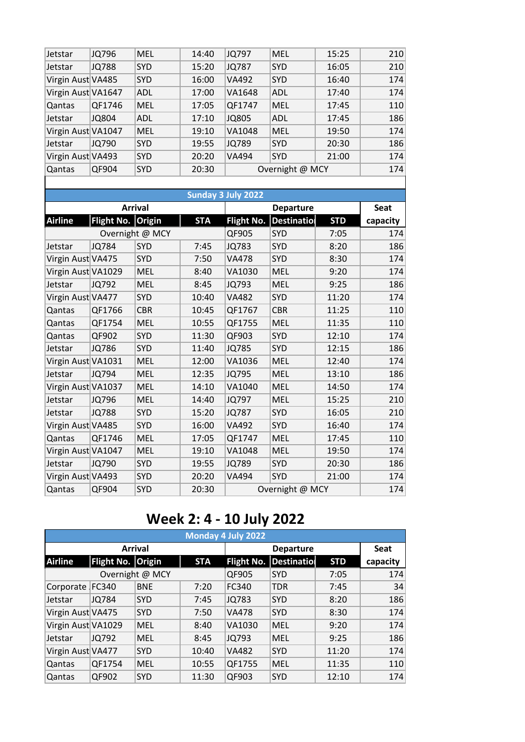| Jetstar            | JQ796        | <b>MEL</b> | 14:40 | <b>JQ797</b> | <b>MEL</b>      | 15:25 | 210 |
|--------------------|--------------|------------|-------|--------------|-----------------|-------|-----|
| Jetstar            | <b>JQ788</b> | <b>SYD</b> | 15:20 | <b>JQ787</b> | <b>SYD</b>      | 16:05 | 210 |
| Virgin Aust VA485  |              | <b>SYD</b> | 16:00 | <b>VA492</b> | <b>SYD</b>      | 16:40 | 174 |
| Virgin Aust VA1647 |              | <b>ADL</b> | 17:00 | VA1648       | <b>ADL</b>      | 17:40 | 174 |
| <b>Qantas</b>      | QF1746       | <b>MEL</b> | 17:05 | QF1747       | <b>MEL</b>      | 17:45 | 110 |
| Jetstar            | <b>JQ804</b> | <b>ADL</b> | 17:10 | <b>JQ805</b> | <b>ADL</b>      | 17:45 | 186 |
| Virgin Aust VA1047 |              | <b>MEL</b> | 19:10 | VA1048       | <b>MEL</b>      | 19:50 | 174 |
| Jetstar            | JQ790        | <b>SYD</b> | 19:55 | <b>JQ789</b> | <b>SYD</b>      | 20:30 | 186 |
| Virgin Aust VA493  |              | <b>SYD</b> | 20:20 | <b>VA494</b> | <b>SYD</b>      | 21:00 | 174 |
| <b>Qantas</b>      | QF904        | <b>SYD</b> | 20:30 |              | Overnight @ MCY |       | 174 |
|                    |              |            |       |              |                 |       |     |
|                    |              |            |       |              |                 |       |     |

|                    |              |                 |            | Sunday 3 July 2022 |                   |             |          |
|--------------------|--------------|-----------------|------------|--------------------|-------------------|-------------|----------|
|                    |              | <b>Arrival</b>  |            |                    |                   | <b>Seat</b> |          |
| <b>Airline</b>     | Flight No.   | <b>Origin</b>   | <b>STA</b> | <b>Flight No.</b>  | <b>Destinatio</b> | <b>STD</b>  | capacity |
|                    |              | Overnight @ MCY |            | QF905              | <b>SYD</b>        | 7:05        | 174      |
| Jetstar            | <b>JQ784</b> | <b>SYD</b>      | 7:45       | JQ783              | <b>SYD</b>        | 8:20        | 186      |
| Virgin Aust VA475  |              | <b>SYD</b>      | 7:50       | <b>VA478</b>       | <b>SYD</b>        | 8:30        | 174      |
| Virgin Aust VA1029 |              | <b>MEL</b>      | 8:40       | VA1030             | <b>MEL</b>        | 9:20        | 174      |
| Jetstar            | JQ792        | <b>MEL</b>      | 8:45       | JQ793              | <b>MEL</b>        | 9:25        | 186      |
| Virgin Aust VA477  |              | SYD             | 10:40      | <b>VA482</b>       | <b>SYD</b>        | 11:20       | 174      |
| Qantas             | QF1766       | <b>CBR</b>      | 10:45      | QF1767             | <b>CBR</b>        | 11:25       | 110      |
| Qantas             | QF1754       | <b>MEL</b>      | 10:55      | QF1755             | <b>MEL</b>        | 11:35       | 110      |
| Qantas             | QF902        | SYD             | 11:30      | QF903              | <b>SYD</b>        | 12:10       | 174      |
| Jetstar            | JQ786        | <b>SYD</b>      | 11:40      | <b>JQ785</b>       | <b>SYD</b>        | 12:15       | 186      |
| Virgin Aust VA1031 |              | <b>MEL</b>      | 12:00      | VA1036             | <b>MEL</b>        | 12:40       | 174      |
| Jetstar            | JQ794        | <b>MEL</b>      | 12:35      | JQ795              | <b>MEL</b>        | 13:10       | 186      |
| Virgin Aust VA1037 |              | <b>MEL</b>      | 14:10      | VA1040             | <b>MEL</b>        | 14:50       | 174      |
| Jetstar            | JQ796        | <b>MEL</b>      | 14:40      | JQ797              | <b>MEL</b>        | 15:25       | 210      |
| Jetstar            | <b>JQ788</b> | <b>SYD</b>      | 15:20      | <b>JQ787</b>       | <b>SYD</b>        | 16:05       | 210      |
| Virgin Aust VA485  |              | <b>SYD</b>      | 16:00      | <b>VA492</b>       | <b>SYD</b>        | 16:40       | 174      |
| Qantas             | QF1746       | <b>MEL</b>      | 17:05      | QF1747             | <b>MEL</b>        | 17:45       | 110      |
| Virgin Aust VA1047 |              | <b>MEL</b>      | 19:10      | VA1048             | <b>MEL</b>        | 19:50       | 174      |
| Jetstar            | JQ790        | SYD             | 19:55      | <b>JQ789</b>       | <b>SYD</b>        | 20:30       | 186      |
| Virgin Aust VA493  |              | <b>SYD</b>      | 20:20      | <b>VA494</b>       | <b>SYD</b>        | 21:00       | 174      |
| Qantas             | QF904        | SYD             | 20:30      |                    | Overnight @ MCY   |             | 174      |

## **Week 2: 4 - 10 July 2022**

|                    | Monday 4 July 2022 |                 |            |              |            |             |          |  |  |  |  |  |
|--------------------|--------------------|-----------------|------------|--------------|------------|-------------|----------|--|--|--|--|--|
|                    |                    | <b>Arrival</b>  |            |              |            | <b>Seat</b> |          |  |  |  |  |  |
| <b>Airline</b>     | Flight No. Origin  |                 | <b>STA</b> | Flight No.   | Destinatio | <b>STD</b>  | capacity |  |  |  |  |  |
|                    |                    | Overnight @ MCY |            | QF905        | <b>SYD</b> | 7:05        | 174      |  |  |  |  |  |
| Corporate FC340    |                    | <b>BNE</b>      | 7:20       | FC340        | <b>TDR</b> | 7:45        | 34       |  |  |  |  |  |
| Jetstar            | JQ784              | <b>SYD</b>      | 7:45       | <b>JQ783</b> | <b>SYD</b> | 8:20        | 186      |  |  |  |  |  |
| Virgin Aust VA475  |                    | <b>SYD</b>      | 7:50       | <b>VA478</b> | <b>SYD</b> | 8:30        | 174      |  |  |  |  |  |
| Virgin Aust VA1029 |                    | <b>MEL</b>      | 8:40       | VA1030       | <b>MEL</b> | 9:20        | 174      |  |  |  |  |  |
| Jetstar            | JQ792              | <b>MEL</b>      | 8:45       | JQ793        | <b>MEL</b> | 9:25        | 186      |  |  |  |  |  |
| Virgin Aust VA477  |                    | <b>SYD</b>      | 10:40      | <b>VA482</b> | <b>SYD</b> | 11:20       | 174      |  |  |  |  |  |
| Qantas             | QF1754             | <b>MEL</b>      | 10:55      | QF1755       | <b>MEL</b> | 11:35       | 110      |  |  |  |  |  |
| Qantas             | QF902              | <b>SYD</b>      | 11:30      | OF903        | <b>SYD</b> | 12:10       | 174      |  |  |  |  |  |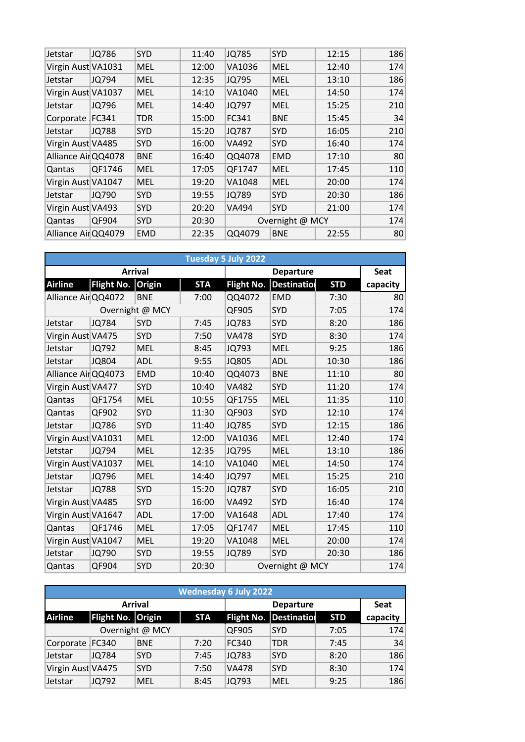| Jetstar             | JQ786        | <b>SYD</b> | 11:40 | <b>JQ785</b> | SYD             | 12:15 | 186 |
|---------------------|--------------|------------|-------|--------------|-----------------|-------|-----|
| Virgin Aust VA1031  |              | <b>MEL</b> | 12:00 | VA1036       | <b>MEL</b>      | 12:40 | 174 |
| Jetstar             | JQ794        | <b>MEL</b> | 12:35 | JQ795        | <b>MEL</b>      | 13:10 | 186 |
| Virgin Aust VA1037  |              | <b>MEL</b> | 14:10 | VA1040       | <b>MEL</b>      | 14:50 | 174 |
| Jetstar             | JQ796        | <b>MEL</b> | 14:40 | JQ797        | <b>MEL</b>      | 15:25 | 210 |
| Corporate FC341     |              | <b>TDR</b> | 15:00 | FC341        | <b>BNE</b>      | 15:45 | 34  |
| Jetstar             | <b>JQ788</b> | <b>SYD</b> | 15:20 | <b>JQ787</b> | <b>SYD</b>      | 16:05 | 210 |
| Virgin Aust VA485   |              | <b>SYD</b> | 16:00 | VA492        | SYD             | 16:40 | 174 |
| Alliance AirQQ4078  |              | <b>BNE</b> | 16:40 | QQ4078       | <b>EMD</b>      | 17:10 | 80  |
| Qantas              | QF1746       | <b>MEL</b> | 17:05 | QF1747       | <b>MEL</b>      | 17:45 | 110 |
| Virgin Aust VA1047  |              | <b>MEL</b> | 19:20 | VA1048       | <b>MEL</b>      | 20:00 | 174 |
| Jetstar             | JQ790        | SYD        | 19:55 | JQ789        | <b>SYD</b>      | 20:30 | 186 |
| Virgin Aust VA493   |              | <b>SYD</b> | 20:20 | VA494        | <b>SYD</b>      | 21:00 | 174 |
| Qantas              | QF904        | <b>SYD</b> | 20:30 |              | Overnight @ MCY |       | 174 |
| Alliance Air QQ4079 |              | <b>EMD</b> | 22:35 | QQ4079       | <b>BNE</b>      | 22:55 | 80  |
|                     |              |            |       |              |                 |       |     |

| Tuesday 5 July 2022 |                   |                 |            |              |                    |            |          |  |  |  |  |
|---------------------|-------------------|-----------------|------------|--------------|--------------------|------------|----------|--|--|--|--|
|                     |                   | <b>Arrival</b>  |            |              | <b>Seat</b>        |            |          |  |  |  |  |
| <b>Airline</b>      | Flight No. Origin |                 | <b>STA</b> | Flight No.   | <b>Destination</b> | <b>STD</b> | capacity |  |  |  |  |
| Alliance Air QQ4072 |                   | <b>BNE</b>      | 7:00       | QQ4072       | <b>EMD</b>         | 7:30       | 80       |  |  |  |  |
|                     |                   | Overnight @ MCY |            | QF905        | SYD                | 7:05       | 174      |  |  |  |  |
| Jetstar             | <b>JQ784</b>      | SYD             | 7:45       | <b>JQ783</b> | SYD                | 8:20       | 186      |  |  |  |  |
| Virgin Aust VA475   |                   | SYD             | 7:50       | <b>VA478</b> | <b>SYD</b>         | 8:30       | 174      |  |  |  |  |
| Jetstar             | JQ792             | <b>MEL</b>      | 8:45       | JQ793        | <b>MEL</b>         | 9:25       | 186      |  |  |  |  |
| Jetstar             | <b>JQ804</b>      | <b>ADL</b>      | 9:55       | <b>JQ805</b> | <b>ADL</b>         | 10:30      | 186      |  |  |  |  |
| Alliance AirQQ4073  |                   | <b>EMD</b>      | 10:40      | QQ4073       | <b>BNE</b>         | 11:10      | 80       |  |  |  |  |
| Virgin Aust VA477   |                   | SYD             | 10:40      | <b>VA482</b> | <b>SYD</b>         | 11:20      | 174      |  |  |  |  |
| Qantas              | QF1754            | <b>MEL</b>      | 10:55      | QF1755       | <b>MEL</b>         | 11:35      | 110      |  |  |  |  |
| Qantas              | QF902             | SYD             | 11:30      | QF903        | SYD                | 12:10      | 174      |  |  |  |  |
| Jetstar             | <b>JQ786</b>      | <b>SYD</b>      | 11:40      | <b>JQ785</b> | <b>SYD</b>         | 12:15      | 186      |  |  |  |  |
| Virgin Aust VA1031  |                   | <b>MEL</b>      | 12:00      | VA1036       | <b>MEL</b>         | 12:40      | 174      |  |  |  |  |
| Jetstar             | JQ794             | <b>MEL</b>      | 12:35      | JQ795        | <b>MEL</b>         | 13:10      | 186      |  |  |  |  |
| Virgin Aust VA1037  |                   | <b>MEL</b>      | 14:10      | VA1040       | <b>MEL</b>         | 14:50      | 174      |  |  |  |  |
| Jetstar             | JQ796             | <b>MEL</b>      | 14:40      | JQ797        | <b>MEL</b>         | 15:25      | 210      |  |  |  |  |
| Jetstar             | <b>JQ788</b>      | SYD             | 15:20      | <b>JQ787</b> | SYD                | 16:05      | 210      |  |  |  |  |
| Virgin Aust VA485   |                   | SYD             | 16:00      | <b>VA492</b> | <b>SYD</b>         | 16:40      | 174      |  |  |  |  |
| Virgin Aust VA1647  |                   | <b>ADL</b>      | 17:00      | VA1648       | <b>ADL</b>         | 17:40      | 174      |  |  |  |  |
| Qantas              | QF1746            | <b>MEL</b>      | 17:05      | QF1747       | <b>MEL</b>         | 17:45      | 110      |  |  |  |  |
| Virgin Aust VA1047  |                   | <b>MEL</b>      | 19:20      | VA1048       | <b>MEL</b>         | 20:00      | 174      |  |  |  |  |
| Jetstar             | JQ790             | SYD             | 19:55      | <b>JQ789</b> | SYD                | 20:30      | 186      |  |  |  |  |
| Qantas              | QF904             | SYD             | 20:30      |              | Overnight @ MCY    |            | 174      |  |  |  |  |

|                   | <b>Wednesday 6 July 2022</b> |                 |            |              |                               |            |             |  |  |  |  |
|-------------------|------------------------------|-----------------|------------|--------------|-------------------------------|------------|-------------|--|--|--|--|
|                   |                              | <b>Arrival</b>  |            |              | <b>Departure</b>              |            | <b>Seat</b> |  |  |  |  |
| <b>Airline</b>    | Flight No. Origin            |                 | <b>STA</b> |              | <b>Flight No. Destination</b> | <b>STD</b> | capacity    |  |  |  |  |
|                   |                              | Overnight @ MCY |            | QF905        | <b>SYD</b>                    | 7:05       | 174         |  |  |  |  |
| Corporate FC340   |                              | <b>BNE</b>      | 7:20       | FC340        | <b>TDR</b>                    | 7:45       | 34          |  |  |  |  |
| Jetstar           | JQ784                        | <b>SYD</b>      | 7:45       | <b>JQ783</b> | <b>SYD</b>                    | 8:20       | 186         |  |  |  |  |
| Virgin Aust VA475 |                              | <b>SYD</b>      | 7:50       | <b>VA478</b> | <b>SYD</b>                    | 8:30       | 174         |  |  |  |  |
| Jetstar           | JQ792                        | <b>MEL</b>      | 8:45       | JQ793        | <b>MEL</b>                    | 9:25       | 186         |  |  |  |  |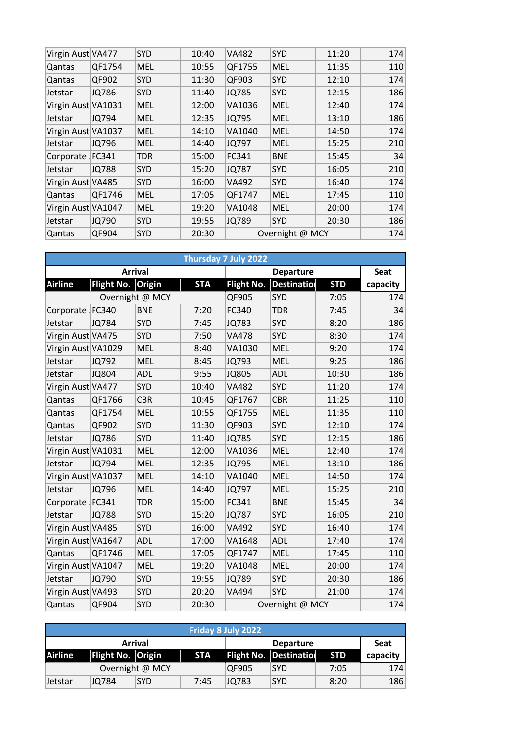| Virgin Aust VA477  |              | SYD        | 10:40 | <b>VA482</b> | SYD             | 11:20 | 174 |
|--------------------|--------------|------------|-------|--------------|-----------------|-------|-----|
| Qantas             | QF1754       | MEL        | 10:55 | QF1755       | <b>MEL</b>      | 11:35 | 110 |
| Qantas             | QF902        | <b>SYD</b> | 11:30 | QF903        | SYD             | 12:10 | 174 |
| Jetstar            | <b>JQ786</b> | <b>SYD</b> | 11:40 | JQ785        | <b>SYD</b>      | 12:15 | 186 |
| Virgin Aust VA1031 |              | <b>MEL</b> | 12:00 | VA1036       | <b>MEL</b>      | 12:40 | 174 |
| Jetstar            | JQ794        | <b>MEL</b> | 12:35 | <b>JQ795</b> | <b>MEL</b>      | 13:10 | 186 |
| Virgin Aust VA1037 |              | <b>MEL</b> | 14:10 | VA1040       | <b>MEL</b>      | 14:50 | 174 |
| Jetstar            | JQ796        | <b>MEL</b> | 14:40 | JQ797        | <b>MEL</b>      | 15:25 | 210 |
| Corporate FC341    |              | <b>TDR</b> | 15:00 | FC341        | <b>BNE</b>      | 15:45 | 34  |
| Jetstar            | <b>JQ788</b> | SYD        | 15:20 | <b>JQ787</b> | SYD             | 16:05 | 210 |
| Virgin Aust VA485  |              | SYD        | 16:00 | <b>VA492</b> | SYD             | 16:40 | 174 |
| Qantas             | QF1746       | <b>MEL</b> | 17:05 | QF1747       | <b>MEL</b>      | 17:45 | 110 |
| Virgin Aust VA1047 |              | <b>MEL</b> | 19:20 | VA1048       | <b>MEL</b>      | 20:00 | 174 |
| Jetstar            | JQ790        | <b>SYD</b> | 19:55 | <b>JQ789</b> | <b>SYD</b>      | 20:30 | 186 |
| Qantas             | QF904        | <b>SYD</b> | 20:30 |              | Overnight @ MCY |       | 174 |
|                    |              |            |       |              |                 |       |     |

|                    | Thursday 7 July 2022 |                 |            |                   |                    |            |          |  |  |  |  |
|--------------------|----------------------|-----------------|------------|-------------------|--------------------|------------|----------|--|--|--|--|
|                    |                      | <b>Arrival</b>  |            |                   | <b>Seat</b>        |            |          |  |  |  |  |
| <b>Airline</b>     | <b>Flight No.</b>    | Origin          | <b>STA</b> | <b>Flight No.</b> | <b>Destination</b> | <b>STD</b> | capacity |  |  |  |  |
|                    |                      | Overnight @ MCY |            | QF905             | <b>SYD</b>         | 7:05       | 174      |  |  |  |  |
| Corporate FC340    |                      | <b>BNE</b>      | 7:20       | FC340             | <b>TDR</b>         | 7:45       | 34       |  |  |  |  |
| Jetstar            | <b>JQ784</b>         | <b>SYD</b>      | 7:45       | <b>JQ783</b>      | SYD                | 8:20       | 186      |  |  |  |  |
| Virgin Aust VA475  |                      | SYD             | 7:50       | <b>VA478</b>      | <b>SYD</b>         | 8:30       | 174      |  |  |  |  |
| Virgin Aust VA1029 |                      | <b>MEL</b>      | 8:40       | VA1030            | <b>MEL</b>         | 9:20       | 174      |  |  |  |  |
| Jetstar            | JQ792                | <b>MEL</b>      | 8:45       | JQ793             | <b>MEL</b>         | 9:25       | 186      |  |  |  |  |
| Jetstar            | <b>JQ804</b>         | <b>ADL</b>      | 9:55       | <b>JQ805</b>      | <b>ADL</b>         | 10:30      | 186      |  |  |  |  |
| Virgin Aust VA477  |                      | SYD             | 10:40      | <b>VA482</b>      | <b>SYD</b>         | 11:20      | 174      |  |  |  |  |
| Qantas             | QF1766               | <b>CBR</b>      | 10:45      | QF1767            | <b>CBR</b>         | 11:25      | 110      |  |  |  |  |
| Qantas             | QF1754               | <b>MEL</b>      | 10:55      | QF1755            | <b>MEL</b>         | 11:35      | 110      |  |  |  |  |
| Qantas             | QF902                | SYD             | 11:30      | QF903             | <b>SYD</b>         | 12:10      | 174      |  |  |  |  |
| Jetstar            | <b>JQ786</b>         | SYD             | 11:40      | <b>JQ785</b>      | <b>SYD</b>         | 12:15      | 186      |  |  |  |  |
| Virgin Aust VA1031 |                      | <b>MEL</b>      | 12:00      | VA1036            | <b>MEL</b>         | 12:40      | 174      |  |  |  |  |
| Jetstar            | JQ794                | <b>MEL</b>      | 12:35      | <b>JQ795</b>      | MEL                | 13:10      | 186      |  |  |  |  |
| Virgin Aust VA1037 |                      | <b>MEL</b>      | 14:10      | VA1040            | <b>MEL</b>         | 14:50      | 174      |  |  |  |  |
| Jetstar            | JQ796                | <b>MEL</b>      | 14:40      | JQ797             | <b>MEL</b>         | 15:25      | 210      |  |  |  |  |
| Corporate FC341    |                      | <b>TDR</b>      | 15:00      | FC341             | <b>BNE</b>         | 15:45      | 34       |  |  |  |  |
| Jetstar            | <b>JQ788</b>         | <b>SYD</b>      | 15:20      | <b>JQ787</b>      | <b>SYD</b>         | 16:05      | 210      |  |  |  |  |
| Virgin Aust VA485  |                      | SYD             | 16:00      | <b>VA492</b>      | <b>SYD</b>         | 16:40      | 174      |  |  |  |  |
| Virgin Aust VA1647 |                      | <b>ADL</b>      | 17:00      | VA1648            | <b>ADL</b>         | 17:40      | 174      |  |  |  |  |
| Qantas             | QF1746               | <b>MEL</b>      | 17:05      | QF1747            | <b>MEL</b>         | 17:45      | 110      |  |  |  |  |
| Virgin Aust VA1047 |                      | <b>MEL</b>      | 19:20      | VA1048            | <b>MEL</b>         | 20:00      | 174      |  |  |  |  |
| Jetstar            | JQ790                | SYD             | 19:55      | <b>JQ789</b>      | <b>SYD</b>         | 20:30      | 186      |  |  |  |  |
| Virgin Aust VA493  |                      | <b>SYD</b>      | 20:20      | VA494             | <b>SYD</b>         | 21:00      | 174      |  |  |  |  |
| Qantas             | QF904                | <b>SYD</b>      | 20:30      |                   | Overnight @ MCY    |            | 174      |  |  |  |  |

| Friday 8 July 2022                 |                   |                 |            |              |                               |            |          |  |  |
|------------------------------------|-------------------|-----------------|------------|--------------|-------------------------------|------------|----------|--|--|
| <b>Arrival</b><br><b>Departure</b> |                   |                 |            |              |                               |            | Seat     |  |  |
| <b>Airline</b>                     | Flight No. Origin |                 | <b>STA</b> |              | <b>Flight No. Destination</b> | <b>STD</b> | capacity |  |  |
|                                    |                   | Overnight @ MCY |            | <b>QF905</b> | <b>SYD</b>                    | 7:05       | 174      |  |  |
| Jetstar                            | JQ784             | <b>SYD</b>      | 7:45       | JQ783        | <b>SYD</b>                    | 8:20       | 186      |  |  |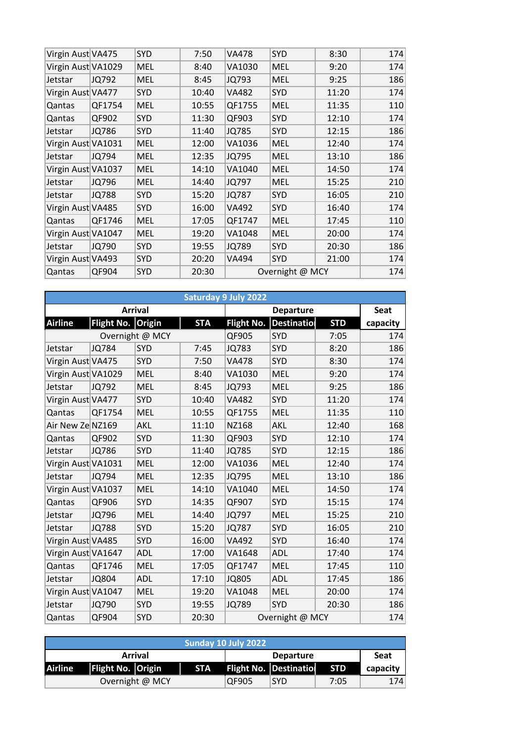| Virgin Aust VA475  |              | <b>SYD</b> | 7:50  | <b>VA478</b> | <b>SYD</b>      | 8:30  | 174 |
|--------------------|--------------|------------|-------|--------------|-----------------|-------|-----|
| Virgin Aust VA1029 |              | <b>MEL</b> | 8:40  | VA1030       | <b>MEL</b>      | 9:20  | 174 |
| Jetstar            | JQ792        | <b>MEL</b> | 8:45  | JQ793        | <b>MEL</b>      | 9:25  | 186 |
| Virgin Aust VA477  |              | <b>SYD</b> | 10:40 | <b>VA482</b> | <b>SYD</b>      | 11:20 | 174 |
| Qantas             | QF1754       | <b>MEL</b> | 10:55 | QF1755       | <b>MEL</b>      | 11:35 | 110 |
| Qantas             | QF902        | SYD        | 11:30 | QF903        | <b>SYD</b>      | 12:10 | 174 |
| Jetstar            | <b>JQ786</b> | <b>SYD</b> | 11:40 | JQ785        | <b>SYD</b>      | 12:15 | 186 |
| Virgin Aust VA1031 |              | <b>MEL</b> | 12:00 | VA1036       | <b>MEL</b>      | 12:40 | 174 |
| Jetstar            | JQ794        | <b>MEL</b> | 12:35 | JQ795        | <b>MEL</b>      | 13:10 | 186 |
| Virgin Aust VA1037 |              | <b>MEL</b> | 14:10 | VA1040       | <b>MEL</b>      | 14:50 | 174 |
| Jetstar            | JQ796        | <b>MEL</b> | 14:40 | JQ797        | <b>MEL</b>      | 15:25 | 210 |
| Jetstar            | <b>JQ788</b> | <b>SYD</b> | 15:20 | <b>JQ787</b> | <b>SYD</b>      | 16:05 | 210 |
| Virgin Aust VA485  |              | <b>SYD</b> | 16:00 | VA492        | <b>SYD</b>      | 16:40 | 174 |
| Qantas             | QF1746       | <b>MEL</b> | 17:05 | QF1747       | <b>MEL</b>      | 17:45 | 110 |
| Virgin Aust VA1047 |              | <b>MEL</b> | 19:20 | VA1048       | <b>MEL</b>      | 20:00 | 174 |
| Jetstar            | JQ790        | <b>SYD</b> | 19:55 | JQ789        | <b>SYD</b>      | 20:30 | 186 |
| Virgin Aust VA493  |              | <b>SYD</b> | 20:20 | VA494        | <b>SYD</b>      | 21:00 | 174 |
| Qantas             | QF904        | <b>SYD</b> | 20:30 |              | Overnight @ MCY |       | 174 |

|                    | <b>Saturday 9 July 2022</b> |                 |            |                   |                    |            |          |  |  |  |  |
|--------------------|-----------------------------|-----------------|------------|-------------------|--------------------|------------|----------|--|--|--|--|
|                    |                             | <b>Arrival</b>  |            |                   | <b>Seat</b>        |            |          |  |  |  |  |
| <b>Airline</b>     | Flight No. Origin           |                 | <b>STA</b> | <b>Flight No.</b> | <b>Destination</b> | <b>STD</b> | capacity |  |  |  |  |
|                    |                             | Overnight @ MCY |            | QF905             | SYD                | 7:05       | 174      |  |  |  |  |
| Jetstar            | <b>JQ784</b>                | <b>SYD</b>      | 7:45       | <b>JQ783</b>      | <b>SYD</b>         | 8:20       | 186      |  |  |  |  |
| Virgin Aust VA475  |                             | SYD             | 7:50       | <b>VA478</b>      | SYD                | 8:30       | 174      |  |  |  |  |
| Virgin Aust VA1029 |                             | <b>MEL</b>      | 8:40       | VA1030            | <b>MEL</b>         | 9:20       | 174      |  |  |  |  |
| Jetstar            | JQ792                       | <b>MEL</b>      | 8:45       | <b>JQ793</b>      | <b>MEL</b>         | 9:25       | 186      |  |  |  |  |
| Virgin Aust VA477  |                             | SYD             | 10:40      | <b>VA482</b>      | <b>SYD</b>         | 11:20      | 174      |  |  |  |  |
| Qantas             | QF1754                      | <b>MEL</b>      | 10:55      | QF1755            | <b>MEL</b>         | 11:35      | 110      |  |  |  |  |
| Air New Ze NZ169   |                             | AKL             | 11:10      | NZ168             | <b>AKL</b>         | 12:40      | 168      |  |  |  |  |
| Qantas             | QF902                       | <b>SYD</b>      | 11:30      | QF903             | <b>SYD</b>         | 12:10      | 174      |  |  |  |  |
| Jetstar            | JQ786                       | SYD             | 11:40      | <b>JQ785</b>      | <b>SYD</b>         | 12:15      | 186      |  |  |  |  |
| Virgin Aust VA1031 |                             | <b>MEL</b>      | 12:00      | VA1036            | <b>MEL</b>         | 12:40      | 174      |  |  |  |  |
| Jetstar            | JQ794                       | <b>MEL</b>      | 12:35      | JQ795             | <b>MEL</b>         | 13:10      | 186      |  |  |  |  |
| Virgin Aust VA1037 |                             | <b>MEL</b>      | 14:10      | VA1040            | <b>MEL</b>         | 14:50      | 174      |  |  |  |  |
| Qantas             | QF906                       | <b>SYD</b>      | 14:35      | QF907             | <b>SYD</b>         | 15:15      | 174      |  |  |  |  |
| Jetstar            | JQ796                       | <b>MEL</b>      | 14:40      | <b>JQ797</b>      | <b>MEL</b>         | 15:25      | 210      |  |  |  |  |
| Jetstar            | <b>JQ788</b>                | <b>SYD</b>      | 15:20      | <b>JQ787</b>      | <b>SYD</b>         | 16:05      | 210      |  |  |  |  |
| Virgin Aust VA485  |                             | SYD             | 16:00      | <b>VA492</b>      | SYD                | 16:40      | 174      |  |  |  |  |
| Virgin Aust VA1647 |                             | <b>ADL</b>      | 17:00      | VA1648            | <b>ADL</b>         | 17:40      | 174      |  |  |  |  |
| Qantas             | QF1746                      | <b>MEL</b>      | 17:05      | QF1747            | <b>MEL</b>         | 17:45      | 110      |  |  |  |  |
| Jetstar            | JQ804                       | ADL             | 17:10      | <b>JQ805</b>      | <b>ADL</b>         | 17:45      | 186      |  |  |  |  |
| Virgin Aust VA1047 |                             | <b>MEL</b>      | 19:20      | VA1048            | <b>MEL</b>         | 20:00      | 174      |  |  |  |  |
| Jetstar            | JQ790                       | <b>SYD</b>      | 19:55      | JQ789             | <b>SYD</b>         | 20:30      | 186      |  |  |  |  |
| Qantas             | QF904                       | <b>SYD</b>      | 20:30      |                   | Overnight @ MCY    |            | 174      |  |  |  |  |

| Sunday 10 July 2022 |                   |                 |            |                  |                                      |      |             |  |  |  |
|---------------------|-------------------|-----------------|------------|------------------|--------------------------------------|------|-------------|--|--|--|
|                     |                   | <b>Arrival</b>  |            | <b>Departure</b> |                                      |      | <b>Seat</b> |  |  |  |
| <b>Airline</b>      | Flight No. Origin |                 | <b>STA</b> |                  | Flight No. Destination<br><b>STD</b> |      |             |  |  |  |
|                     |                   | Overnight @ MCY |            | QF905            | <b>SYD</b>                           | 7:05 | 174         |  |  |  |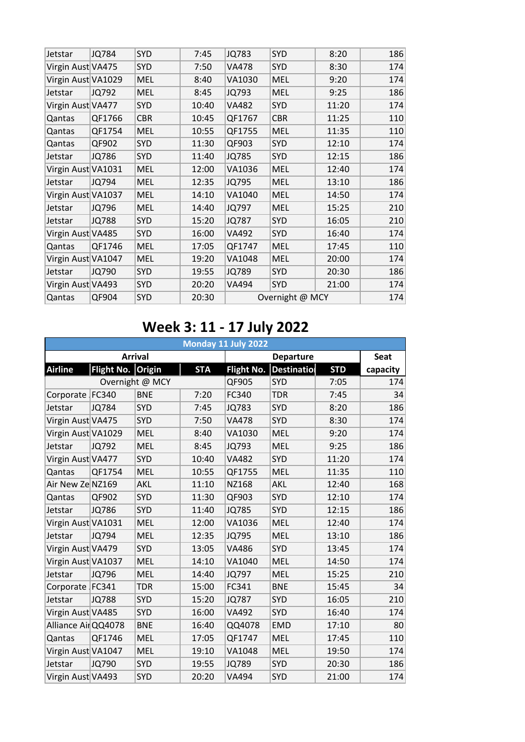| Jetstar            | <b>JQ784</b> | <b>SYD</b> | 7:45  | JQ783        | <b>SYD</b>      | 8:20  | 186 |
|--------------------|--------------|------------|-------|--------------|-----------------|-------|-----|
| Virgin Aust VA475  |              | SYD        | 7:50  | <b>VA478</b> | SYD             | 8:30  | 174 |
| Virgin Aust VA1029 |              | <b>MEL</b> | 8:40  | VA1030       | <b>MEL</b>      | 9:20  | 174 |
| Jetstar            | JQ792        | <b>MEL</b> | 8:45  | JQ793        | <b>MEL</b>      | 9:25  | 186 |
| Virgin Aust VA477  |              | <b>SYD</b> | 10:40 | <b>VA482</b> | SYD             | 11:20 | 174 |
| Qantas             | QF1766       | <b>CBR</b> | 10:45 | QF1767       | <b>CBR</b>      | 11:25 | 110 |
| Qantas             | QF1754       | <b>MEL</b> | 10:55 | QF1755       | <b>MEL</b>      | 11:35 | 110 |
| Qantas             | QF902        | SYD        | 11:30 | QF903        | SYD             | 12:10 | 174 |
| Jetstar            | <b>JQ786</b> | <b>SYD</b> | 11:40 | <b>JQ785</b> | SYD             | 12:15 | 186 |
| Virgin Aust VA1031 |              | <b>MEL</b> | 12:00 | VA1036       | <b>MEL</b>      | 12:40 | 174 |
| Jetstar            | <b>JQ794</b> | <b>MEL</b> | 12:35 | JQ795        | <b>MEL</b>      | 13:10 | 186 |
| Virgin Aust VA1037 |              | <b>MEL</b> | 14:10 | VA1040       | <b>MEL</b>      | 14:50 | 174 |
| Jetstar            | JQ796        | <b>MEL</b> | 14:40 | JQ797        | <b>MEL</b>      | 15:25 | 210 |
| Jetstar            | <b>JQ788</b> | SYD        | 15:20 | <b>JQ787</b> | SYD             | 16:05 | 210 |
| Virgin Aust VA485  |              | <b>SYD</b> | 16:00 | VA492        | SYD             | 16:40 | 174 |
| Qantas             | QF1746       | <b>MEL</b> | 17:05 | QF1747       | <b>MEL</b>      | 17:45 | 110 |
| Virgin Aust VA1047 |              | <b>MEL</b> | 19:20 | VA1048       | <b>MEL</b>      | 20:00 | 174 |
| Jetstar            | JQ790        | <b>SYD</b> | 19:55 | JQ789        | SYD             | 20:30 | 186 |
| Virgin Aust VA493  |              | <b>SYD</b> | 20:20 | <b>VA494</b> | <b>SYD</b>      | 21:00 | 174 |
| Qantas             | QF904        | <b>SYD</b> | 20:30 |              | Overnight @ MCY |       | 174 |

## **Week 3: 11 - 17 July 2022**

|                    | Monday 11 July 2022 |                 |            |                   |                    |            |          |  |  |  |  |
|--------------------|---------------------|-----------------|------------|-------------------|--------------------|------------|----------|--|--|--|--|
|                    |                     | <b>Arrival</b>  |            |                   | <b>Seat</b>        |            |          |  |  |  |  |
| <b>Airline</b>     | Flight No. Origin   |                 | <b>STA</b> | <b>Flight No.</b> | <b>Destination</b> | <b>STD</b> | capacity |  |  |  |  |
|                    |                     | Overnight @ MCY |            | QF905             | SYD                | 7:05       | 174      |  |  |  |  |
| Corporate FC340    |                     | <b>BNE</b>      | 7:20       | FC340             | <b>TDR</b>         | 7:45       | 34       |  |  |  |  |
| Jetstar            | <b>JQ784</b>        | SYD             | 7:45       | <b>JQ783</b>      | <b>SYD</b>         | 8:20       | 186      |  |  |  |  |
| Virgin Aust VA475  |                     | <b>SYD</b>      | 7:50       | <b>VA478</b>      | <b>SYD</b>         | 8:30       | 174      |  |  |  |  |
| Virgin Aust VA1029 |                     | <b>MEL</b>      | 8:40       | VA1030            | <b>MEL</b>         | 9:20       | 174      |  |  |  |  |
| Jetstar            | JQ792               | <b>MEL</b>      | 8:45       | JQ793             | <b>MEL</b>         | 9:25       | 186      |  |  |  |  |
| Virgin Aust VA477  |                     | SYD             | 10:40      | <b>VA482</b>      | <b>SYD</b>         | 11:20      | 174      |  |  |  |  |
| Qantas             | QF1754              | <b>MEL</b>      | 10:55      | QF1755            | <b>MEL</b>         | 11:35      | 110      |  |  |  |  |
| Air New Ze NZ169   |                     | <b>AKL</b>      | 11:10      | NZ168             | AKL                | 12:40      | 168      |  |  |  |  |
| Qantas             | QF902               | SYD             | 11:30      | QF903             | <b>SYD</b>         | 12:10      | 174      |  |  |  |  |
| Jetstar            | JQ786               | <b>SYD</b>      | 11:40      | <b>JQ785</b>      | SYD                | 12:15      | 186      |  |  |  |  |
| Virgin Aust VA1031 |                     | <b>MEL</b>      | 12:00      | VA1036            | <b>MEL</b>         | 12:40      | 174      |  |  |  |  |
| Jetstar            | JQ794               | <b>MEL</b>      | 12:35      | JQ795             | <b>MEL</b>         | 13:10      | 186      |  |  |  |  |
| Virgin Aust VA479  |                     | SYD             | 13:05      | <b>VA486</b>      | SYD                | 13:45      | 174      |  |  |  |  |
| Virgin Aust VA1037 |                     | <b>MEL</b>      | 14:10      | VA1040            | <b>MEL</b>         | 14:50      | 174      |  |  |  |  |
| Jetstar            | JQ796               | <b>MEL</b>      | 14:40      | <b>JQ797</b>      | <b>MEL</b>         | 15:25      | 210      |  |  |  |  |
| Corporate FC341    |                     | <b>TDR</b>      | 15:00      | FC341             | <b>BNE</b>         | 15:45      | 34       |  |  |  |  |
| Jetstar            | <b>JQ788</b>        | <b>SYD</b>      | 15:20      | <b>JQ787</b>      | <b>SYD</b>         | 16:05      | 210      |  |  |  |  |
| Virgin Aust VA485  |                     | SYD             | 16:00      | <b>VA492</b>      | SYD                | 16:40      | 174      |  |  |  |  |
| Alliance AirQQ4078 |                     | <b>BNE</b>      | 16:40      | QQ4078            | <b>EMD</b>         | 17:10      | 80       |  |  |  |  |
| Qantas             | QF1746              | <b>MEL</b>      | 17:05      | QF1747            | <b>MEL</b>         | 17:45      | 110      |  |  |  |  |
| Virgin Aust VA1047 |                     | <b>MEL</b>      | 19:10      | VA1048            | <b>MEL</b>         | 19:50      | 174      |  |  |  |  |
| Jetstar            | JQ790               | SYD             | 19:55      | <b>JQ789</b>      | SYD                | 20:30      | 186      |  |  |  |  |
| Virgin Aust VA493  |                     | <b>SYD</b>      | 20:20      | <b>VA494</b>      | <b>SYD</b>         | 21:00      | 174      |  |  |  |  |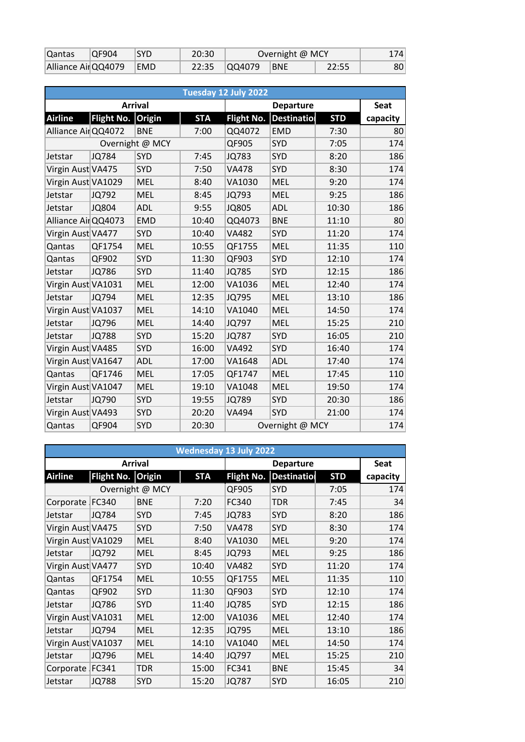| Qantas             | IOF904 | <b>SYD</b> | 20:30 | Overnight @ MCY |            |       | 174 |
|--------------------|--------|------------|-------|-----------------|------------|-------|-----|
| Alliance AirQQ4079 |        | EMD        |       |                 | <b>BNE</b> | 22:55 | 80  |

|                     |                   |                |            | Tuesday 12 July 2022 |                 |            |          |
|---------------------|-------------------|----------------|------------|----------------------|-----------------|------------|----------|
|                     |                   | <b>Arrival</b> |            |                      | <b>Seat</b>     |            |          |
| <b>Airline</b>      | <b>Flight No.</b> | <b>Origin</b>  | <b>STA</b> | <b>Flight No.</b>    | Destinatio      | <b>STD</b> | capacity |
| Alliance Air QQ4072 |                   | <b>BNE</b>     | 7:00       | QQ4072               | <b>EMD</b>      | 7:30       | 80       |
|                     | Overnight @ MCY   |                |            | QF905                | <b>SYD</b>      | 7:05       | 174      |
| Jetstar             | <b>JQ784</b>      | <b>SYD</b>     | 7:45       | <b>JQ783</b>         | <b>SYD</b>      | 8:20       | 186      |
| Virgin Aust VA475   |                   | <b>SYD</b>     | 7:50       | <b>VA478</b>         | <b>SYD</b>      | 8:30       | 174      |
| Virgin Aust VA1029  |                   | <b>MEL</b>     | 8:40       | VA1030               | <b>MEL</b>      | 9:20       | 174      |
| Jetstar             | JQ792             | <b>MEL</b>     | 8:45       | <b>JQ793</b>         | <b>MEL</b>      | 9:25       | 186      |
| Jetstar             | <b>JQ804</b>      | <b>ADL</b>     | 9:55       | <b>JQ805</b>         | <b>ADL</b>      | 10:30      | 186      |
| Alliance AirQQ4073  |                   | <b>EMD</b>     | 10:40      | QQ4073               | <b>BNE</b>      | 11:10      | 80       |
| Virgin Aust VA477   |                   | <b>SYD</b>     | 10:40      | <b>VA482</b>         | <b>SYD</b>      | 11:20      | 174      |
| Qantas              | QF1754            | <b>MEL</b>     | 10:55      | QF1755               | <b>MEL</b>      | 11:35      | 110      |
| Qantas              | QF902             | <b>SYD</b>     | 11:30      | QF903                | SYD             | 12:10      | 174      |
| Jetstar             | JQ786             | <b>SYD</b>     | 11:40      | <b>JQ785</b>         | SYD             | 12:15      | 186      |
| Virgin Aust VA1031  |                   | <b>MEL</b>     | 12:00      | VA1036               | <b>MEL</b>      | 12:40      | 174      |
| Jetstar             | JQ794             | <b>MEL</b>     | 12:35      | <b>JQ795</b>         | <b>MEL</b>      | 13:10      | 186      |
| Virgin Aust VA1037  |                   | <b>MEL</b>     | 14:10      | VA1040               | <b>MEL</b>      | 14:50      | 174      |
| Jetstar             | JQ796             | <b>MEL</b>     | 14:40      | JQ797                | <b>MEL</b>      | 15:25      | 210      |
| Jetstar             | <b>JQ788</b>      | <b>SYD</b>     | 15:20      | <b>JQ787</b>         | SYD             | 16:05      | 210      |
| Virgin Aust VA485   |                   | <b>SYD</b>     | 16:00      | <b>VA492</b>         | <b>SYD</b>      | 16:40      | 174      |
| Virgin Aust VA1647  |                   | <b>ADL</b>     | 17:00      | VA1648               | <b>ADL</b>      | 17:40      | 174      |
| Qantas              | QF1746            | <b>MEL</b>     | 17:05      | QF1747               | <b>MEL</b>      | 17:45      | 110      |
| Virgin Aust VA1047  |                   | <b>MEL</b>     | 19:10      | VA1048               | <b>MEL</b>      | 19:50      | 174      |
| Jetstar             | JQ790             | SYD            | 19:55      | <b>JQ789</b>         | <b>SYD</b>      | 20:30      | 186      |
| Virgin Aust VA493   |                   | <b>SYD</b>     | 20:20      | <b>VA494</b>         | SYD             | 21:00      | 174      |
| Qantas              | QF904             | <b>SYD</b>     | 20:30      |                      | Overnight @ MCY |            | 174      |

| <b>Wednesday 13 July 2022</b> |                   |                 |            |                   |                    |            |             |  |  |  |  |
|-------------------------------|-------------------|-----------------|------------|-------------------|--------------------|------------|-------------|--|--|--|--|
|                               |                   | <b>Arrival</b>  |            |                   | <b>Departure</b>   |            | <b>Seat</b> |  |  |  |  |
| <b>Airline</b>                | Flight No. Origin |                 | <b>STA</b> | <b>Flight No.</b> | <b>Destination</b> | <b>STD</b> | capacity    |  |  |  |  |
|                               |                   | Overnight @ MCY |            | QF905             | <b>SYD</b>         | 7:05       | 174         |  |  |  |  |
| Corporate FC340               |                   | <b>BNE</b>      | 7:20       | FC340             | <b>TDR</b>         | 7:45       | 34          |  |  |  |  |
| Jetstar                       | <b>JQ784</b>      | <b>SYD</b>      | 7:45       | <b>JQ783</b>      | SYD                | 8:20       | 186         |  |  |  |  |
| Virgin Aust VA475             |                   | <b>SYD</b>      | 7:50       | <b>VA478</b>      | <b>SYD</b>         | 8:30       | 174         |  |  |  |  |
| Virgin Aust VA1029            |                   | <b>MEL</b>      | 8:40       | VA1030            | <b>MEL</b>         | 9:20       | 174         |  |  |  |  |
| Jetstar                       | JQ792             | <b>MEL</b>      | 8:45       | JQ793             | <b>MEL</b>         | 9:25       | 186         |  |  |  |  |
| Virgin Aust VA477             |                   | <b>SYD</b>      | 10:40      | <b>VA482</b>      | <b>SYD</b>         | 11:20      | 174         |  |  |  |  |
| Qantas                        | QF1754            | <b>MEL</b>      | 10:55      | QF1755            | <b>MEL</b>         | 11:35      | 110         |  |  |  |  |
| Qantas                        | QF902             | <b>SYD</b>      | 11:30      | QF903             | SYD                | 12:10      | 174         |  |  |  |  |
| Jetstar                       | <b>JQ786</b>      | <b>SYD</b>      | 11:40      | <b>JQ785</b>      | <b>SYD</b>         | 12:15      | 186         |  |  |  |  |
| Virgin Aust VA1031            |                   | <b>MEL</b>      | 12:00      | VA1036            | <b>MEL</b>         | 12:40      | 174         |  |  |  |  |
| Jetstar                       | JQ794             | <b>MEL</b>      | 12:35      | JQ795             | <b>MEL</b>         | 13:10      | 186         |  |  |  |  |
| Virgin Aust VA1037            |                   | <b>MEL</b>      | 14:10      | VA1040            | <b>MEL</b>         | 14:50      | 174         |  |  |  |  |
| Jetstar                       | JQ796             | <b>MEL</b>      | 14:40      | JQ797             | <b>MEL</b>         | 15:25      | 210         |  |  |  |  |
| Corporate FC341               |                   | <b>TDR</b>      | 15:00      | FC341             | <b>BNE</b>         | 15:45      | 34          |  |  |  |  |
| Jetstar                       | <b>JQ788</b>      | <b>SYD</b>      | 15:20      | <b>JQ787</b>      | <b>SYD</b>         | 16:05      | 210         |  |  |  |  |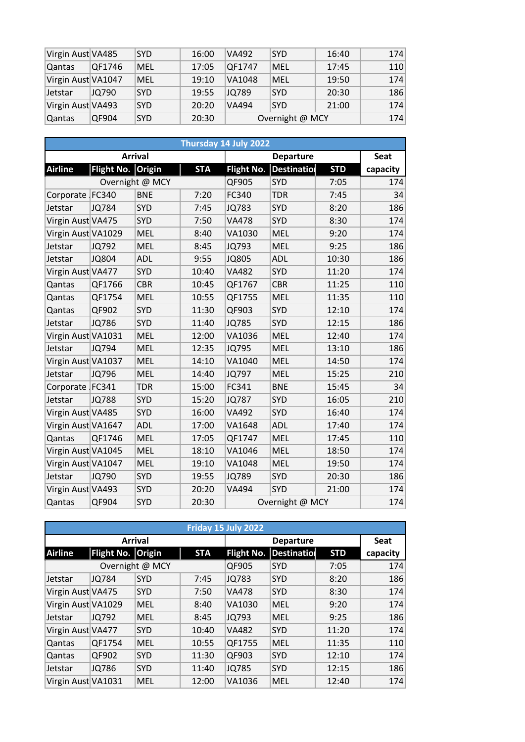| Virgin Aust VA485  |        | <b>SYD</b> | 16:00 | VA492  | <b>SYD</b>      | 16:40 | 174 |
|--------------------|--------|------------|-------|--------|-----------------|-------|-----|
| Qantas             | QF1746 | MEL        | 17:05 | QF1747 | MEL             | 17:45 | 110 |
| Virgin Aust VA1047 |        | MEL        | 19:10 | VA1048 | MEL             | 19:50 | 174 |
| Jetstar            | JQ790  | <b>SYD</b> | 19:55 | JQ789  | <b>SYD</b>      | 20:30 | 186 |
| Virgin Aust VA493  |        | <b>SYD</b> | 20:20 | VA494  | <b>SYD</b>      | 21:00 | 174 |
| Qantas             | QF904  | <b>SYD</b> | 20:30 |        | Overnight @ MCY |       | 174 |

|                    |                   |                 |            | Thursday 14 July 2022 |                  |            |          |  |
|--------------------|-------------------|-----------------|------------|-----------------------|------------------|------------|----------|--|
|                    |                   | <b>Arrival</b>  |            |                       | <b>Departure</b> |            |          |  |
| <b>Airline</b>     | Flight No. Origin |                 | <b>STA</b> | <b>Flight No.</b>     | Destinatio       | <b>STD</b> | capacity |  |
|                    |                   | Overnight @ MCY |            | QF905                 | <b>SYD</b>       | 7:05       | 174      |  |
| Corporate FC340    |                   | <b>BNE</b>      | 7:20       | FC340                 | <b>TDR</b>       | 7:45       | 34       |  |
| Jetstar            | <b>JQ784</b>      | SYD             | 7:45       | <b>JQ783</b>          | SYD              | 8:20       | 186      |  |
| Virgin Aust VA475  |                   | <b>SYD</b>      | 7:50       | <b>VA478</b>          | SYD              | 8:30       | 174      |  |
| Virgin Aust VA1029 |                   | <b>MEL</b>      | 8:40       | VA1030                | <b>MEL</b>       | 9:20       | 174      |  |
| Jetstar            | JQ792             | <b>MEL</b>      | 8:45       | <b>JQ793</b>          | <b>MEL</b>       | 9:25       | 186      |  |
| Jetstar            | <b>JQ804</b>      | <b>ADL</b>      | 9:55       | <b>JQ805</b>          | <b>ADL</b>       | 10:30      | 186      |  |
| Virgin Aust VA477  |                   | SYD             | 10:40      | <b>VA482</b>          | <b>SYD</b>       | 11:20      | 174      |  |
| Qantas             | QF1766            | <b>CBR</b>      | 10:45      | QF1767                | <b>CBR</b>       | 11:25      | 110      |  |
| Qantas             | QF1754            | <b>MEL</b>      | 10:55      | QF1755                | <b>MEL</b>       | 11:35      | 110      |  |
| Qantas             | QF902             | <b>SYD</b>      | 11:30      | QF903                 | <b>SYD</b>       | 12:10      | 174      |  |
| Jetstar            | <b>JQ786</b>      | SYD             | 11:40      | <b>JQ785</b>          | <b>SYD</b>       | 12:15      | 186      |  |
| Virgin Aust VA1031 |                   | <b>MEL</b>      | 12:00      | VA1036                | <b>MEL</b>       | 12:40      | 174      |  |
| Jetstar            | JQ794             | <b>MEL</b>      | 12:35      | <b>JQ795</b>          | <b>MEL</b>       | 13:10      | 186      |  |
| Virgin Aust VA1037 |                   | <b>MEL</b>      | 14:10      | VA1040                | <b>MEL</b>       | 14:50      | 174      |  |
| Jetstar            | JQ796             | <b>MEL</b>      | 14:40      | <b>JQ797</b>          | <b>MEL</b>       | 15:25      | 210      |  |
| Corporate FC341    |                   | <b>TDR</b>      | 15:00      | FC341                 | <b>BNE</b>       | 15:45      | 34       |  |
| Jetstar            | <b>JQ788</b>      | SYD             | 15:20      | <b>JQ787</b>          | <b>SYD</b>       | 16:05      | 210      |  |
| Virgin Aust VA485  |                   | SYD             | 16:00      | <b>VA492</b>          | SYD              | 16:40      | 174      |  |
| Virgin Aust VA1647 |                   | ADL             | 17:00      | VA1648                | <b>ADL</b>       | 17:40      | 174      |  |
| Qantas             | QF1746            | <b>MEL</b>      | 17:05      | QF1747                | <b>MEL</b>       | 17:45      | 110      |  |
| Virgin Aust VA1045 |                   | <b>MEL</b>      | 18:10      | VA1046                | <b>MEL</b>       | 18:50      | 174      |  |
| Virgin Aust VA1047 |                   | <b>MEL</b>      | 19:10      | VA1048                | <b>MEL</b>       | 19:50      | 174      |  |
| Jetstar            | JQ790             | SYD             | 19:55      | <b>JQ789</b>          | SYD              | 20:30      | 186      |  |
| Virgin Aust VA493  |                   | SYD             | 20:20      | <b>VA494</b>          | SYD              | 21:00      | 174      |  |
| Qantas             | QF904             | <b>SYD</b>      | 20:30      |                       | Overnight @ MCY  |            | 174      |  |

|                    | Friday 15 July 2022 |                |            |                   |                    |            |             |  |  |  |  |  |
|--------------------|---------------------|----------------|------------|-------------------|--------------------|------------|-------------|--|--|--|--|--|
|                    |                     | <b>Arrival</b> |            |                   | <b>Departure</b>   |            | <b>Seat</b> |  |  |  |  |  |
| <b>Airline</b>     | Flight No. Origin   |                | <b>STA</b> | <b>Flight No.</b> | <b>Destination</b> | <b>STD</b> | capacity    |  |  |  |  |  |
| Overnight @ MCY    |                     |                | QF905      | <b>SYD</b>        | 7:05               | 174        |             |  |  |  |  |  |
| Jetstar            | JQ784               | <b>SYD</b>     | 7:45       | <b>JQ783</b>      | <b>SYD</b>         | 8:20       | 186         |  |  |  |  |  |
| Virgin Aust VA475  |                     | <b>SYD</b>     | 7:50       | <b>VA478</b>      | <b>SYD</b>         | 8:30       | 174         |  |  |  |  |  |
| Virgin Aust VA1029 |                     | <b>MEL</b>     | 8:40       | VA1030            | <b>MEL</b>         | 9:20       | 174         |  |  |  |  |  |
| Jetstar            | JQ792               | <b>MEL</b>     | 8:45       | JQ793             | <b>MEL</b>         | 9:25       | 186         |  |  |  |  |  |
| Virgin Aust VA477  |                     | <b>SYD</b>     | 10:40      | <b>VA482</b>      | <b>SYD</b>         | 11:20      | 174         |  |  |  |  |  |
| Qantas             | QF1754              | <b>MEL</b>     | 10:55      | QF1755            | <b>MEL</b>         | 11:35      | 110         |  |  |  |  |  |
| Qantas             | QF902               | <b>SYD</b>     | 11:30      | QF903             | <b>SYD</b>         | 12:10      | 174         |  |  |  |  |  |
| Jetstar            | JQ786               | <b>SYD</b>     | 11:40      | <b>JQ785</b>      | <b>SYD</b>         | 12:15      | 186         |  |  |  |  |  |
| Virgin Aust VA1031 |                     | <b>MEL</b>     | 12:00      | VA1036            | <b>MEL</b>         | 12:40      | 174         |  |  |  |  |  |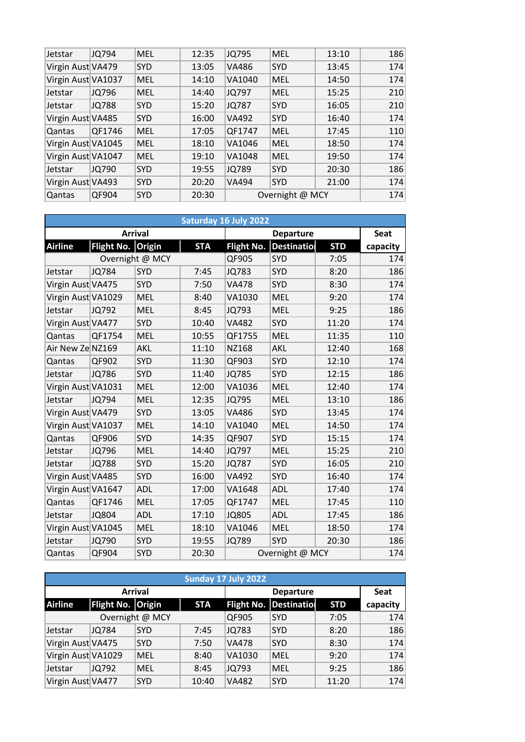| Jetstar            | JQ794  | <b>MEL</b> | 12:35 | <b>JQ795</b> | <b>MEL</b>      | 13:10 | 186 |
|--------------------|--------|------------|-------|--------------|-----------------|-------|-----|
| Virgin Aust VA479  |        | <b>SYD</b> | 13:05 | <b>VA486</b> | <b>SYD</b>      | 13:45 | 174 |
| Virgin Aust VA1037 |        | <b>MEL</b> | 14:10 | VA1040       | <b>MEL</b>      | 14:50 | 174 |
| Jetstar            | JQ796  | <b>MEL</b> | 14:40 | JQ797        | <b>MEL</b>      | 15:25 | 210 |
| Jetstar            | JQ788  | <b>SYD</b> | 15:20 | JQ787        | <b>SYD</b>      | 16:05 | 210 |
| Virgin Aust VA485  |        | <b>SYD</b> | 16:00 | <b>VA492</b> | <b>SYD</b>      | 16:40 | 174 |
| Qantas             | QF1746 | <b>MEL</b> | 17:05 | QF1747       | <b>MEL</b>      | 17:45 | 110 |
| Virgin Aust VA1045 |        | <b>MEL</b> | 18:10 | VA1046       | <b>MEL</b>      | 18:50 | 174 |
| Virgin Aust VA1047 |        | <b>MEL</b> | 19:10 | VA1048       | <b>MEL</b>      | 19:50 | 174 |
| Jetstar            | JQ790  | <b>SYD</b> | 19:55 | JQ789        | <b>SYD</b>      | 20:30 | 186 |
| Virgin Aust VA493  |        | <b>SYD</b> | 20:20 | <b>VA494</b> | <b>SYD</b>      | 21:00 | 174 |
| Qantas             | QF904  | <b>SYD</b> | 20:30 |              | Overnight @ MCY |       | 174 |

|                    |                   |                 |            | Saturday 16 July 2022 |                   |            |          |  |
|--------------------|-------------------|-----------------|------------|-----------------------|-------------------|------------|----------|--|
|                    |                   | <b>Arrival</b>  |            |                       | <b>Departure</b>  |            |          |  |
| <b>Airline</b>     | <b>Flight No.</b> | Origin          | <b>STA</b> | Flight No.            | <b>Destinatio</b> | <b>STD</b> | capacity |  |
|                    |                   | Overnight @ MCY |            | QF905                 | <b>SYD</b>        | 7:05       | 174      |  |
| Jetstar            | <b>JQ784</b>      | <b>SYD</b>      | 7:45       | <b>JQ783</b>          | <b>SYD</b>        | 8:20       | 186      |  |
| Virgin Aust VA475  |                   | <b>SYD</b>      | 7:50       | <b>VA478</b>          | <b>SYD</b>        | 8:30       | 174      |  |
| Virgin Aust VA1029 |                   | <b>MEL</b>      | 8:40       | VA1030                | <b>MEL</b>        | 9:20       | 174      |  |
| Jetstar            | JQ792             | <b>MEL</b>      | 8:45       | JQ793                 | <b>MEL</b>        | 9:25       | 186      |  |
| Virgin Aust VA477  |                   | <b>SYD</b>      | 10:40      | <b>VA482</b>          | <b>SYD</b>        | 11:20      | 174      |  |
| Qantas             | QF1754            | <b>MEL</b>      | 10:55      | QF1755                | <b>MEL</b>        | 11:35      | 110      |  |
| Air New Ze NZ169   |                   | AKL             | 11:10      | <b>NZ168</b>          | AKL               | 12:40      | 168      |  |
| Qantas             | QF902             | <b>SYD</b>      | 11:30      | QF903                 | <b>SYD</b>        | 12:10      | 174      |  |
| Jetstar            | JQ786             | <b>SYD</b>      | 11:40      | <b>JQ785</b>          | <b>SYD</b>        | 12:15      | 186      |  |
| Virgin Aust VA1031 |                   | <b>MEL</b>      | 12:00      | VA1036                | <b>MEL</b>        | 12:40      | 174      |  |
| Jetstar            | JQ794             | MEL             | 12:35      | <b>JQ795</b>          | <b>MEL</b>        | 13:10      | 186      |  |
| Virgin Aust VA479  |                   | <b>SYD</b>      | 13:05      | <b>VA486</b>          | <b>SYD</b>        | 13:45      | 174      |  |
| Virgin Aust VA1037 |                   | <b>MEL</b>      | 14:10      | VA1040                | <b>MEL</b>        | 14:50      | 174      |  |
| Qantas             | QF906             | <b>SYD</b>      | 14:35      | QF907                 | SYD               | 15:15      | 174      |  |
| Jetstar            | JQ796             | <b>MEL</b>      | 14:40      | JQ797                 | <b>MEL</b>        | 15:25      | 210      |  |
| Jetstar            | <b>JQ788</b>      | <b>SYD</b>      | 15:20      | <b>JQ787</b>          | SYD               | 16:05      | 210      |  |
| Virgin Aust VA485  |                   | <b>SYD</b>      | 16:00      | <b>VA492</b>          | SYD               | 16:40      | 174      |  |
| Virgin Aust VA1647 |                   | ADL             | 17:00      | VA1648                | ADL               | 17:40      | 174      |  |
| Qantas             | QF1746            | <b>MEL</b>      | 17:05      | QF1747                | <b>MEL</b>        | 17:45      | 110      |  |
| Jetstar            | <b>JQ804</b>      | ADL             | 17:10      | <b>JQ805</b>          | <b>ADL</b>        | 17:45      | 186      |  |
| Virgin Aust VA1045 |                   | <b>MEL</b>      | 18:10      | VA1046                | <b>MEL</b>        | 18:50      | 174      |  |
| Jetstar            | JQ790             | <b>SYD</b>      | 19:55      | <b>JQ789</b>          | SYD               | 20:30      | 186      |  |
| Qantas             | QF904             | <b>SYD</b>      | 20:30      |                       | Overnight @ MCY   |            | 174      |  |

|                    | Sunday 17 July 2022 |                 |            |              |                               |            |             |  |  |  |  |  |
|--------------------|---------------------|-----------------|------------|--------------|-------------------------------|------------|-------------|--|--|--|--|--|
|                    |                     | <b>Arrival</b>  |            |              | <b>Departure</b>              |            | <b>Seat</b> |  |  |  |  |  |
| <b>Airline</b>     | Flight No. Origin   |                 | <b>STA</b> |              | <b>Flight No. Destination</b> | <b>STD</b> | capacity    |  |  |  |  |  |
|                    |                     | Overnight @ MCY |            | QF905        | <b>SYD</b>                    | 7:05       | 174         |  |  |  |  |  |
| Jetstar            | JQ784               | <b>SYD</b>      | 7:45       | JQ783        | <b>SYD</b>                    | 8:20       | 186         |  |  |  |  |  |
| Virgin Aust VA475  |                     | <b>SYD</b>      | 7:50       | <b>VA478</b> | <b>SYD</b>                    | 8:30       | 174         |  |  |  |  |  |
| Virgin Aust VA1029 |                     | <b>MEL</b>      | 8:40       | VA1030       | <b>MEL</b>                    | 9:20       | 174         |  |  |  |  |  |
| Jetstar            | JQ792               | MEL             | 8:45       | JQ793        | <b>MEL</b>                    | 9:25       | 186         |  |  |  |  |  |
| Virgin Aust VA477  |                     | <b>SYD</b>      | 10:40      | <b>VA482</b> | <b>SYD</b>                    | 11:20      | 174         |  |  |  |  |  |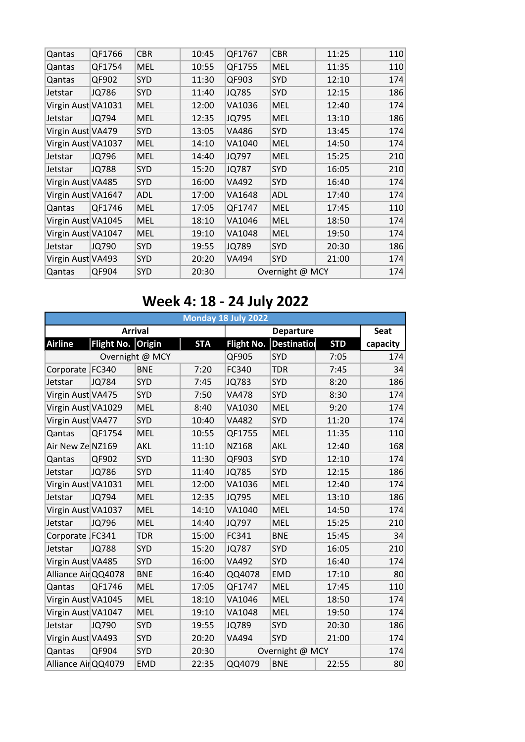| Qantas             | QF1766       | <b>CBR</b> | 10:45 | QF1767       | <b>CBR</b>      | 11:25 | 110 |
|--------------------|--------------|------------|-------|--------------|-----------------|-------|-----|
| Qantas             | QF1754       | <b>MEL</b> | 10:55 | QF1755       | <b>MEL</b>      | 11:35 | 110 |
| Qantas             | QF902        | SYD        | 11:30 | QF903        | <b>SYD</b>      | 12:10 | 174 |
| Jetstar            | <b>JQ786</b> | SYD        | 11:40 | <b>JQ785</b> | <b>SYD</b>      | 12:15 | 186 |
| Virgin Aust VA1031 |              | <b>MEL</b> | 12:00 | VA1036       | <b>MEL</b>      | 12:40 | 174 |
| Jetstar            | JQ794        | <b>MEL</b> | 12:35 | JQ795        | <b>MEL</b>      | 13:10 | 186 |
| Virgin Aust VA479  |              | SYD        | 13:05 | VA486        | <b>SYD</b>      | 13:45 | 174 |
| Virgin Aust VA1037 |              | <b>MEL</b> | 14:10 | VA1040       | <b>MEL</b>      | 14:50 | 174 |
| Jetstar            | JQ796        | <b>MEL</b> | 14:40 | JQ797        | <b>MEL</b>      | 15:25 | 210 |
| Jetstar            | <b>JQ788</b> | SYD        | 15:20 | <b>JQ787</b> | <b>SYD</b>      | 16:05 | 210 |
| Virgin Aust VA485  |              | <b>SYD</b> | 16:00 | VA492        | <b>SYD</b>      | 16:40 | 174 |
| Virgin Aust VA1647 |              | <b>ADL</b> | 17:00 | VA1648       | <b>ADL</b>      | 17:40 | 174 |
| Qantas             | QF1746       | <b>MEL</b> | 17:05 | QF1747       | <b>MEL</b>      | 17:45 | 110 |
| Virgin Aust VA1045 |              | <b>MEL</b> | 18:10 | VA1046       | <b>MEL</b>      | 18:50 | 174 |
| Virgin Aust VA1047 |              | <b>MEL</b> | 19:10 | VA1048       | <b>MEL</b>      | 19:50 | 174 |
| Jetstar            | JQ790        | <b>SYD</b> | 19:55 | JQ789        | <b>SYD</b>      | 20:30 | 186 |
| Virgin Aust VA493  |              | SYD        | 20:20 | VA494        | <b>SYD</b>      | 21:00 | 174 |
| Qantas             | QF904        | SYD        | 20:30 |              | Overnight @ MCY |       | 174 |
|                    |              |            |       |              |                 |       |     |

## **Week 4: 18 - 24 July 2022**

|                     | Monday 18 July 2022 |                 |            |                   |                    |            |          |  |  |  |  |
|---------------------|---------------------|-----------------|------------|-------------------|--------------------|------------|----------|--|--|--|--|
|                     |                     | <b>Arrival</b>  |            |                   | <b>Seat</b>        |            |          |  |  |  |  |
| <b>Airline</b>      | Flight No. Origin   |                 | <b>STA</b> | <b>Flight No.</b> | <b>Destination</b> | <b>STD</b> | capacity |  |  |  |  |
|                     |                     | Overnight @ MCY |            | QF905             | <b>SYD</b>         | 7:05       | 174      |  |  |  |  |
| Corporate   FC340   |                     | <b>BNE</b>      | 7:20       | FC340             | <b>TDR</b>         | 7:45       | 34       |  |  |  |  |
| Jetstar             | <b>JQ784</b>        | <b>SYD</b>      | 7:45       | <b>JQ783</b>      | SYD                | 8:20       | 186      |  |  |  |  |
| Virgin Aust VA475   |                     | <b>SYD</b>      | 7:50       | <b>VA478</b>      | SYD                | 8:30       | 174      |  |  |  |  |
| Virgin Aust VA1029  |                     | <b>MEL</b>      | 8:40       | VA1030            | <b>MEL</b>         | 9:20       | 174      |  |  |  |  |
| Virgin Aust VA477   |                     | <b>SYD</b>      | 10:40      | <b>VA482</b>      | <b>SYD</b>         | 11:20      | 174      |  |  |  |  |
| Qantas              | QF1754              | <b>MEL</b>      | 10:55      | QF1755            | <b>MEL</b>         | 11:35      | 110      |  |  |  |  |
| Air New Ze NZ169    |                     | <b>AKL</b>      | 11:10      | NZ168             | AKL                | 12:40      | 168      |  |  |  |  |
| Qantas              | QF902               | <b>SYD</b>      | 11:30      | QF903             | <b>SYD</b>         | 12:10      | 174      |  |  |  |  |
| Jetstar             | <b>JQ786</b>        | <b>SYD</b>      | 11:40      | <b>JQ785</b>      | SYD                | 12:15      | 186      |  |  |  |  |
| Virgin Aust VA1031  |                     | <b>MEL</b>      | 12:00      | VA1036            | <b>MEL</b>         | 12:40      | 174      |  |  |  |  |
| Jetstar             | JQ794               | <b>MEL</b>      | 12:35      | <b>JQ795</b>      | <b>MEL</b>         | 13:10      | 186      |  |  |  |  |
| Virgin Aust VA1037  |                     | <b>MEL</b>      | 14:10      | VA1040            | <b>MEL</b>         | 14:50      | 174      |  |  |  |  |
| Jetstar             | JQ796               | <b>MEL</b>      | 14:40      | JQ797             | <b>MEL</b>         | 15:25      | 210      |  |  |  |  |
| Corporate   FC341   |                     | <b>TDR</b>      | 15:00      | FC341             | <b>BNE</b>         | 15:45      | 34       |  |  |  |  |
| Jetstar             | <b>JQ788</b>        | <b>SYD</b>      | 15:20      | <b>JQ787</b>      | <b>SYD</b>         | 16:05      | 210      |  |  |  |  |
| Virgin Aust VA485   |                     | <b>SYD</b>      | 16:00      | <b>VA492</b>      | <b>SYD</b>         | 16:40      | 174      |  |  |  |  |
| Alliance AirQQ4078  |                     | <b>BNE</b>      | 16:40      | QQ4078            | <b>EMD</b>         | 17:10      | 80       |  |  |  |  |
| Qantas              | QF1746              | <b>MEL</b>      | 17:05      | QF1747            | <b>MEL</b>         | 17:45      | 110      |  |  |  |  |
| Virgin Aust VA1045  |                     | <b>MEL</b>      | 18:10      | VA1046            | <b>MEL</b>         | 18:50      | 174      |  |  |  |  |
| Virgin Aust VA1047  |                     | <b>MEL</b>      | 19:10      | VA1048            | <b>MEL</b>         | 19:50      | 174      |  |  |  |  |
| Jetstar             | JQ790               | <b>SYD</b>      | 19:55      | <b>JQ789</b>      | <b>SYD</b>         | 20:30      | 186      |  |  |  |  |
| Virgin Aust VA493   |                     | <b>SYD</b>      | 20:20      | VA494             | SYD                | 21:00      | 174      |  |  |  |  |
| Qantas              | QF904               | <b>SYD</b>      | 20:30      |                   | Overnight @ MCY    |            | 174      |  |  |  |  |
| Alliance Air QQ4079 |                     | <b>EMD</b>      | 22:35      | QQ4079            | <b>BNE</b>         | 22:55      | 80       |  |  |  |  |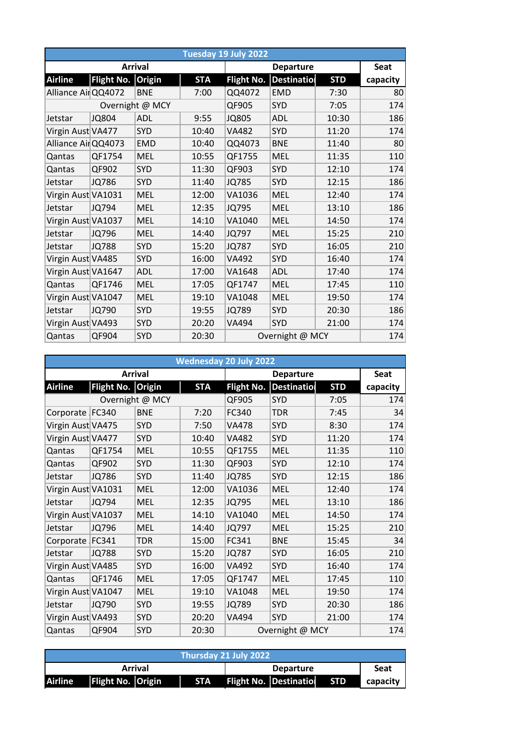|                     | Tuesday 19 July 2022 |                 |            |                   |                 |            |          |  |  |  |  |
|---------------------|----------------------|-----------------|------------|-------------------|-----------------|------------|----------|--|--|--|--|
|                     |                      | <b>Arrival</b>  |            |                   | <b>Seat</b>     |            |          |  |  |  |  |
| <b>Airline</b>      | Flight No. Origin    |                 | <b>STA</b> | <b>Flight No.</b> | Destinatio      | <b>STD</b> | capacity |  |  |  |  |
| Alliance Air QQ4072 |                      | <b>BNE</b>      | 7:00       | QQ4072            | <b>EMD</b>      | 7:30       | 80       |  |  |  |  |
|                     |                      | Overnight @ MCY |            | QF905             | SYD             | 7:05       | 174      |  |  |  |  |
| Jetstar             | <b>JQ804</b>         | ADL             | 9:55       | <b>JQ805</b>      | ADL             | 10:30      | 186      |  |  |  |  |
| Virgin Aust VA477   |                      | <b>SYD</b>      | 10:40      | <b>VA482</b>      | <b>SYD</b>      | 11:20      | 174      |  |  |  |  |
| Alliance AirQQ4073  |                      | <b>EMD</b>      | 10:40      | QQ4073            | <b>BNE</b>      | 11:40      | 80       |  |  |  |  |
| Qantas              | QF1754               | <b>MEL</b>      | 10:55      | QF1755            | <b>MEL</b>      | 11:35      | 110      |  |  |  |  |
| Qantas              | QF902                | SYD             | 11:30      | QF903             | SYD             | 12:10      | 174      |  |  |  |  |
| Jetstar             | <b>JQ786</b>         | <b>SYD</b>      | 11:40      | <b>JQ785</b>      | SYD             | 12:15      | 186      |  |  |  |  |
| Virgin Aust VA1031  |                      | <b>MEL</b>      | 12:00      | VA1036            | <b>MEL</b>      | 12:40      | 174      |  |  |  |  |
| Jetstar             | JQ794                | <b>MEL</b>      | 12:35      | JQ795             | <b>MEL</b>      | 13:10      | 186      |  |  |  |  |
| Virgin Aust VA1037  |                      | <b>MEL</b>      | 14:10      | VA1040            | <b>MEL</b>      | 14:50      | 174      |  |  |  |  |
| Jetstar             | JQ796                | <b>MEL</b>      | 14:40      | JQ797             | <b>MEL</b>      | 15:25      | 210      |  |  |  |  |
| Jetstar             | <b>JQ788</b>         | <b>SYD</b>      | 15:20      | <b>JQ787</b>      | <b>SYD</b>      | 16:05      | 210      |  |  |  |  |
| Virgin Aust VA485   |                      | <b>SYD</b>      | 16:00      | VA492             | <b>SYD</b>      | 16:40      | 174      |  |  |  |  |
| Virgin Aust VA1647  |                      | ADL             | 17:00      | VA1648            | <b>ADL</b>      | 17:40      | 174      |  |  |  |  |
| Qantas              | QF1746               | <b>MEL</b>      | 17:05      | QF1747            | <b>MEL</b>      | 17:45      | 110      |  |  |  |  |
| Virgin Aust VA1047  |                      | <b>MEL</b>      | 19:10      | VA1048            | <b>MEL</b>      | 19:50      | 174      |  |  |  |  |
| Jetstar             | <b>JQ790</b>         | <b>SYD</b>      | 19:55      | <b>JQ789</b>      | <b>SYD</b>      | 20:30      | 186      |  |  |  |  |
| Virgin Aust VA493   |                      | <b>SYD</b>      | 20:20      | VA494             | <b>SYD</b>      | 21:00      | 174      |  |  |  |  |
| Qantas              | QF904                | <b>SYD</b>      | 20:30      |                   | Overnight @ MCY |            | 174      |  |  |  |  |

|                    |                   |                 |            | <b>Wednesday 20 July 2022</b> |                    |            |             |
|--------------------|-------------------|-----------------|------------|-------------------------------|--------------------|------------|-------------|
|                    |                   | <b>Arrival</b>  |            |                               | <b>Departure</b>   |            | <b>Seat</b> |
| <b>Airline</b>     | <b>Flight No.</b> | <b>Origin</b>   | <b>STA</b> | <b>Flight No.</b>             | <b>Destination</b> | <b>STD</b> | capacity    |
|                    |                   | Overnight @ MCY |            | QF905                         | <b>SYD</b>         | 7:05       | 174         |
| Corporate FC340    |                   | <b>BNE</b>      | 7:20       | FC340                         | <b>TDR</b>         | 7:45       | 34          |
| Virgin Aust VA475  |                   | <b>SYD</b>      | 7:50       | <b>VA478</b>                  | <b>SYD</b>         | 8:30       | 174         |
| Virgin Aust VA477  |                   | <b>SYD</b>      | 10:40      | <b>VA482</b>                  | <b>SYD</b>         | 11:20      | 174         |
| Qantas             | QF1754            | <b>MEL</b>      | 10:55      | QF1755                        | <b>MEL</b>         | 11:35      | 110         |
| Qantas             | QF902             | <b>SYD</b>      | 11:30      | QF903                         | <b>SYD</b>         | 12:10      | 174         |
| Jetstar            | JQ786             | <b>SYD</b>      | 11:40      | <b>JQ785</b>                  | <b>SYD</b>         | 12:15      | 186         |
| Virgin Aust VA1031 |                   | <b>MEL</b>      | 12:00      | VA1036                        | <b>MEL</b>         | 12:40      | 174         |
| Jetstar            | JQ794             | <b>MEL</b>      | 12:35      | JQ795                         | <b>MEL</b>         | 13:10      | 186         |
| Virgin Aust VA1037 |                   | <b>MEL</b>      | 14:10      | VA1040                        | <b>MEL</b>         | 14:50      | 174         |
| Jetstar            | JQ796             | <b>MEL</b>      | 14:40      | JQ797                         | <b>MEL</b>         | 15:25      | 210         |
| Corporate FC341    |                   | <b>TDR</b>      | 15:00      | FC341                         | <b>BNE</b>         | 15:45      | 34          |
| Jetstar            | <b>JQ788</b>      | <b>SYD</b>      | 15:20      | <b>JQ787</b>                  | <b>SYD</b>         | 16:05      | 210         |
| Virgin Aust VA485  |                   | <b>SYD</b>      | 16:00      | VA492                         | <b>SYD</b>         | 16:40      | 174         |
| Qantas             | QF1746            | <b>MEL</b>      | 17:05      | QF1747                        | <b>MEL</b>         | 17:45      | 110         |
| Virgin Aust VA1047 |                   | <b>MEL</b>      | 19:10      | VA1048                        | <b>MEL</b>         | 19:50      | 174         |
| Jetstar            | <b>JQ790</b>      | <b>SYD</b>      | 19:55      | <b>JQ789</b>                  | SYD                | 20:30      | 186         |
| Virgin Aust VA493  |                   | <b>SYD</b>      | 20:20      | VA494                         | <b>SYD</b>         | 21:00      | 174         |
| Qantas             | QF904             | <b>SYD</b>      | 20:30      |                               | Overnight @ MCY    |            | 174         |

| Thursday 21 July 2022 |                          |  |                  |  |                               |            |          |  |  |
|-----------------------|--------------------------|--|------------------|--|-------------------------------|------------|----------|--|--|
|                       | Arrival                  |  | <b>Departure</b> |  |                               | Seat       |          |  |  |
| <b>Airline</b>        | <b>Flight No. Origin</b> |  | <b>STA</b>       |  | <b>Flight No. Destination</b> | <b>STD</b> | capacity |  |  |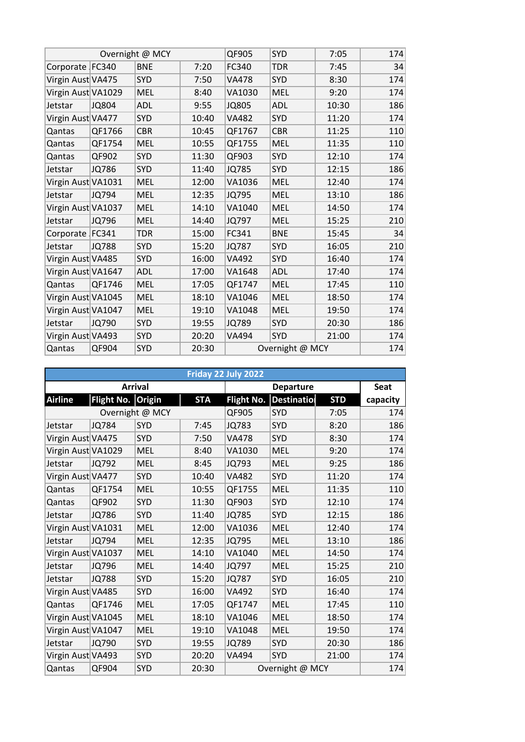|                    |              | Overnight @ MCY |       | QF905        | SYD             | 7:05  | 174 |
|--------------------|--------------|-----------------|-------|--------------|-----------------|-------|-----|
| Corporate   FC340  |              | <b>BNE</b>      | 7:20  | FC340        | <b>TDR</b>      | 7:45  | 34  |
| Virgin Aust VA475  |              | <b>SYD</b>      | 7:50  | <b>VA478</b> | SYD             | 8:30  | 174 |
| Virgin Aust VA1029 |              | <b>MEL</b>      | 8:40  | VA1030       | <b>MEL</b>      | 9:20  | 174 |
| Jetstar            | JQ804        | <b>ADL</b>      | 9:55  | <b>JQ805</b> | <b>ADL</b>      | 10:30 | 186 |
| Virgin Aust VA477  |              | SYD             | 10:40 | <b>VA482</b> | <b>SYD</b>      | 11:20 | 174 |
| Qantas             | QF1766       | <b>CBR</b>      | 10:45 | QF1767       | <b>CBR</b>      | 11:25 | 110 |
| Qantas             | QF1754       | <b>MEL</b>      | 10:55 | QF1755       | <b>MEL</b>      | 11:35 | 110 |
| Qantas             | QF902        | <b>SYD</b>      | 11:30 | QF903        | <b>SYD</b>      | 12:10 | 174 |
| Jetstar            | <b>JQ786</b> | <b>SYD</b>      | 11:40 | <b>JQ785</b> | <b>SYD</b>      | 12:15 | 186 |
| Virgin Aust VA1031 |              | <b>MEL</b>      | 12:00 | VA1036       | <b>MEL</b>      | 12:40 | 174 |
| Jetstar            | JQ794        | <b>MEL</b>      | 12:35 | <b>JQ795</b> | <b>MEL</b>      | 13:10 | 186 |
| Virgin Aust VA1037 |              | <b>MEL</b>      | 14:10 | VA1040       | <b>MEL</b>      | 14:50 | 174 |
| Jetstar            | JQ796        | <b>MEL</b>      | 14:40 | <b>JQ797</b> | <b>MEL</b>      | 15:25 | 210 |
| Corporate   FC341  |              | TDR             | 15:00 | FC341        | <b>BNE</b>      | 15:45 | 34  |
| Jetstar            | <b>JQ788</b> | SYD             | 15:20 | <b>JQ787</b> | <b>SYD</b>      | 16:05 | 210 |
| Virgin Aust VA485  |              | <b>SYD</b>      | 16:00 | <b>VA492</b> | <b>SYD</b>      | 16:40 | 174 |
| Virgin Aust VA1647 |              | <b>ADL</b>      | 17:00 | VA1648       | <b>ADL</b>      | 17:40 | 174 |
| Qantas             | QF1746       | <b>MEL</b>      | 17:05 | QF1747       | <b>MEL</b>      | 17:45 | 110 |
| Virgin Aust VA1045 |              | <b>MEL</b>      | 18:10 | VA1046       | <b>MEL</b>      | 18:50 | 174 |
| Virgin Aust VA1047 |              | <b>MEL</b>      | 19:10 | VA1048       | <b>MEL</b>      | 19:50 | 174 |
| Jetstar            | JQ790        | <b>SYD</b>      | 19:55 | <b>JQ789</b> | <b>SYD</b>      | 20:30 | 186 |
| Virgin Aust VA493  |              | <b>SYD</b>      | 20:20 | VA494        | <b>SYD</b>      | 21:00 | 174 |
| Qantas             | QF904        | SYD             | 20:30 |              | Overnight @ MCY |       | 174 |

|                    |                   |                 |            | Friday 22 July 2022 |                    |             |          |
|--------------------|-------------------|-----------------|------------|---------------------|--------------------|-------------|----------|
|                    |                   | <b>Arrival</b>  |            |                     |                    | <b>Seat</b> |          |
| <b>Airline</b>     | Flight No. Origin |                 | <b>STA</b> | <b>Flight No.</b>   | <b>Destination</b> | <b>STD</b>  | capacity |
|                    |                   | Overnight @ MCY |            | QF905               | <b>SYD</b>         | 7:05        | 174      |
| Jetstar            | JQ784             | SYD             | 7:45       | <b>JQ783</b>        | <b>SYD</b>         | 8:20        | 186      |
| Virgin Aust VA475  |                   | SYD             | 7:50       | <b>VA478</b>        | <b>SYD</b>         | 8:30        | 174      |
| Virgin Aust VA1029 |                   | <b>MEL</b>      | 8:40       | VA1030              | <b>MEL</b>         | 9:20        | 174      |
| Jetstar            | JQ792             | <b>MEL</b>      | 8:45       | JQ793               | <b>MEL</b>         | 9:25        | 186      |
| Virgin Aust VA477  |                   | SYD             | 10:40      | <b>VA482</b>        | <b>SYD</b>         | 11:20       | 174      |
| Qantas             | QF1754            | <b>MEL</b>      | 10:55      | QF1755              | <b>MEL</b>         | 11:35       | 110      |
| Qantas             | QF902             | SYD             | 11:30      | QF903               | <b>SYD</b>         | 12:10       | 174      |
| Jetstar            | JQ786             | <b>SYD</b>      | 11:40      | <b>JQ785</b>        | <b>SYD</b>         | 12:15       | 186      |
| Virgin Aust VA1031 |                   | <b>MEL</b>      | 12:00      | VA1036              | <b>MEL</b>         | 12:40       | 174      |
| Jetstar            | JQ794             | <b>MEL</b>      | 12:35      | <b>JQ795</b>        | <b>MEL</b>         | 13:10       | 186      |
| Virgin Aust VA1037 |                   | <b>MEL</b>      | 14:10      | VA1040              | <b>MEL</b>         | 14:50       | 174      |
| Jetstar            | JQ796             | <b>MEL</b>      | 14:40      | JQ797               | <b>MEL</b>         | 15:25       | 210      |
| Jetstar            | <b>JQ788</b>      | SYD             | 15:20      | <b>JQ787</b>        | <b>SYD</b>         | 16:05       | 210      |
| Virgin Aust VA485  |                   | <b>SYD</b>      | 16:00      | <b>VA492</b>        | <b>SYD</b>         | 16:40       | 174      |
| Qantas             | QF1746            | <b>MEL</b>      | 17:05      | QF1747              | <b>MEL</b>         | 17:45       | 110      |
| Virgin Aust VA1045 |                   | <b>MEL</b>      | 18:10      | VA1046              | <b>MEL</b>         | 18:50       | 174      |
| Virgin Aust VA1047 |                   | <b>MEL</b>      | 19:10      | VA1048              | <b>MEL</b>         | 19:50       | 174      |
| Jetstar            | JQ790             | <b>SYD</b>      | 19:55      | <b>JQ789</b>        | <b>SYD</b>         | 20:30       | 186      |
| Virgin Aust VA493  |                   | <b>SYD</b>      | 20:20      | <b>VA494</b>        | <b>SYD</b>         | 21:00       | 174      |
| Qantas             | QF904             | <b>SYD</b>      | 20:30      |                     | Overnight @ MCY    |             | 174      |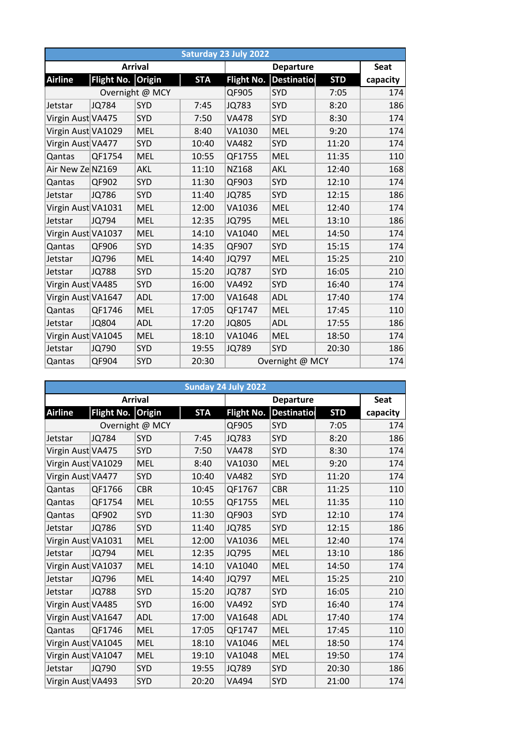|                    |                   |                 |            | Saturday 23 July 2022 |                    |            |          |
|--------------------|-------------------|-----------------|------------|-----------------------|--------------------|------------|----------|
|                    |                   | <b>Arrival</b>  |            |                       | <b>Seat</b>        |            |          |
| <b>Airline</b>     | <b>Flight No.</b> | <b>Origin</b>   | <b>STA</b> | <b>Flight No.</b>     | <b>Destination</b> | <b>STD</b> | capacity |
|                    |                   | Overnight @ MCY |            | QF905                 | SYD                | 7:05       | 174      |
| Jetstar            | <b>JQ784</b>      | <b>SYD</b>      | 7:45       | <b>JQ783</b>          | <b>SYD</b>         | 8:20       | 186      |
| Virgin Aust VA475  |                   | <b>SYD</b>      | 7:50       | <b>VA478</b>          | <b>SYD</b>         | 8:30       | 174      |
| Virgin Aust VA1029 |                   | <b>MEL</b>      | 8:40       | VA1030                | <b>MEL</b>         | 9:20       | 174      |
| Virgin Aust VA477  |                   | SYD             | 10:40      | <b>VA482</b>          | <b>SYD</b>         | 11:20      | 174      |
| Qantas             | QF1754            | <b>MEL</b>      | 10:55      | QF1755                | <b>MEL</b>         | 11:35      | 110      |
| Air New Ze NZ169   |                   | AKL             | 11:10      | NZ168                 | AKL                | 12:40      | 168      |
| Qantas             | QF902             | SYD             | 11:30      | QF903                 | SYD                | 12:10      | 174      |
| Jetstar            | JQ786             | <b>SYD</b>      | 11:40      | <b>JQ785</b>          | <b>SYD</b>         | 12:15      | 186      |
| Virgin Aust VA1031 |                   | <b>MEL</b>      | 12:00      | VA1036                | <b>MEL</b>         | 12:40      | 174      |
| Jetstar            | JQ794             | <b>MEL</b>      | 12:35      | JQ795                 | <b>MEL</b>         | 13:10      | 186      |
| Virgin Aust VA1037 |                   | <b>MEL</b>      | 14:10      | VA1040                | <b>MEL</b>         | 14:50      | 174      |
| Qantas             | QF906             | <b>SYD</b>      | 14:35      | QF907                 | SYD                | 15:15      | 174      |
| Jetstar            | JQ796             | <b>MEL</b>      | 14:40      | <b>JQ797</b>          | <b>MEL</b>         | 15:25      | 210      |
| Jetstar            | <b>JQ788</b>      | <b>SYD</b>      | 15:20      | <b>JQ787</b>          | <b>SYD</b>         | 16:05      | 210      |
| Virgin Aust VA485  |                   | <b>SYD</b>      | 16:00      | VA492                 | <b>SYD</b>         | 16:40      | 174      |
| Virgin Aust VA1647 |                   | ADL             | 17:00      | VA1648                | <b>ADL</b>         | 17:40      | 174      |
| Qantas             | QF1746            | <b>MEL</b>      | 17:05      | QF1747                | <b>MEL</b>         | 17:45      | 110      |
| Jetstar            | <b>JQ804</b>      | <b>ADL</b>      | 17:20      | <b>JQ805</b>          | <b>ADL</b>         | 17:55      | 186      |
| Virgin Aust VA1045 |                   | <b>MEL</b>      | 18:10      | VA1046                | <b>MEL</b>         | 18:50      | 174      |
| Jetstar            | JQ790             | SYD             | 19:55      | <b>JQ789</b>          | <b>SYD</b>         | 20:30      | 186      |
| Qantas             | QF904             | <b>SYD</b>      | 20:30      |                       | Overnight @ MCY    |            | 174      |

|                    | Sunday 24 July 2022<br><b>Departure</b> |                 |            |                   |                    |             |          |  |  |  |  |  |  |
|--------------------|-----------------------------------------|-----------------|------------|-------------------|--------------------|-------------|----------|--|--|--|--|--|--|
|                    |                                         | <b>Arrival</b>  |            |                   |                    | <b>Seat</b> |          |  |  |  |  |  |  |
| <b>Airline</b>     | Flight No. Origin                       |                 | <b>STA</b> | <b>Flight No.</b> | <b>Destinatiol</b> | <b>STD</b>  | capacity |  |  |  |  |  |  |
|                    |                                         | Overnight @ MCY |            | QF905             | SYD                | 7:05        | 174      |  |  |  |  |  |  |
| Jetstar            | <b>JQ784</b>                            | SYD             | 7:45       | <b>JQ783</b>      | SYD                | 8:20        | 186      |  |  |  |  |  |  |
| Virgin Aust VA475  |                                         | <b>SYD</b>      | 7:50       | <b>VA478</b>      | <b>SYD</b>         | 8:30        | 174      |  |  |  |  |  |  |
| Virgin Aust VA1029 |                                         | <b>MEL</b>      | 8:40       | VA1030            | <b>MEL</b>         | 9:20        | 174      |  |  |  |  |  |  |
| Virgin Aust VA477  |                                         | <b>SYD</b>      | 10:40      | <b>VA482</b>      | SYD                | 11:20       | 174      |  |  |  |  |  |  |
| Qantas             | QF1766                                  | <b>CBR</b>      | 10:45      | QF1767            | <b>CBR</b>         | 11:25       | 110      |  |  |  |  |  |  |
| Qantas             | QF1754                                  | <b>MEL</b>      | 10:55      | QF1755            | <b>MEL</b>         | 11:35       | 110      |  |  |  |  |  |  |
| Qantas             | QF902                                   | SYD             | 11:30      | QF903             | SYD                | 12:10       | 174      |  |  |  |  |  |  |
| Jetstar            | JQ786                                   | <b>SYD</b>      | 11:40      | <b>JQ785</b>      | <b>SYD</b>         | 12:15       | 186      |  |  |  |  |  |  |
| Virgin Aust VA1031 |                                         | <b>MEL</b>      | 12:00      | VA1036            | <b>MEL</b>         | 12:40       | 174      |  |  |  |  |  |  |
| Jetstar            | <b>JQ794</b>                            | <b>MEL</b>      | 12:35      | JQ795             | <b>MEL</b>         | 13:10       | 186      |  |  |  |  |  |  |
| Virgin Aust VA1037 |                                         | <b>MEL</b>      | 14:10      | VA1040            | <b>MEL</b>         | 14:50       | 174      |  |  |  |  |  |  |
| Jetstar            | JQ796                                   | <b>MEL</b>      | 14:40      | JQ797             | <b>MEL</b>         | 15:25       | 210      |  |  |  |  |  |  |
| Jetstar            | <b>JQ788</b>                            | SYD             | 15:20      | <b>JQ787</b>      | SYD                | 16:05       | 210      |  |  |  |  |  |  |
| Virgin Aust VA485  |                                         | <b>SYD</b>      | 16:00      | <b>VA492</b>      | <b>SYD</b>         | 16:40       | 174      |  |  |  |  |  |  |
| Virgin Aust VA1647 |                                         | <b>ADL</b>      | 17:00      | VA1648            | <b>ADL</b>         | 17:40       | 174      |  |  |  |  |  |  |
| Qantas             | QF1746                                  | <b>MEL</b>      | 17:05      | QF1747            | <b>MEL</b>         | 17:45       | 110      |  |  |  |  |  |  |
| Virgin Aust VA1045 |                                         | <b>MEL</b>      | 18:10      | VA1046            | <b>MEL</b>         | 18:50       | 174      |  |  |  |  |  |  |
| Virgin Aust VA1047 |                                         | <b>MEL</b>      | 19:10      | VA1048            | <b>MEL</b>         | 19:50       | 174      |  |  |  |  |  |  |
| Jetstar            | <b>JQ790</b>                            | SYD             | 19:55      | <b>JQ789</b>      | SYD                | 20:30       | 186      |  |  |  |  |  |  |
| Virgin Aust VA493  |                                         | SYD             | 20:20      | VA494             | <b>SYD</b>         | 21:00       | 174      |  |  |  |  |  |  |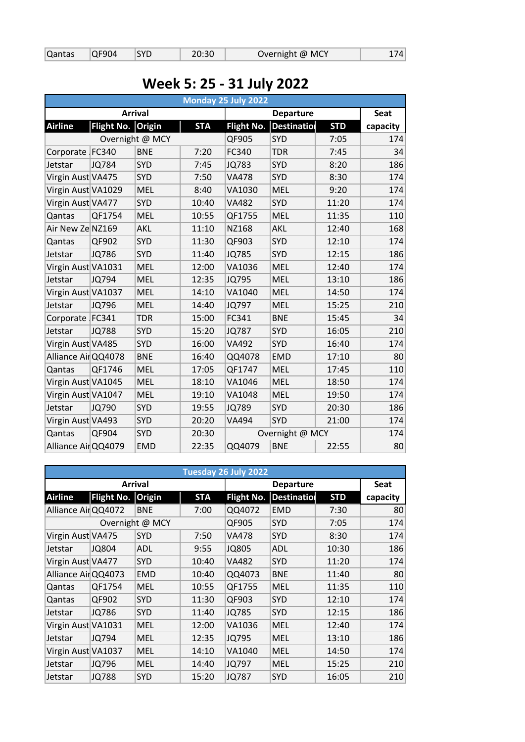|  | Qantas QF904 |  | <b>ISYD</b> | 20:30 | Overnight @ MCY | 174 |
|--|--------------|--|-------------|-------|-----------------|-----|
|--|--------------|--|-------------|-------|-----------------|-----|

## **Week 5: 25 - 31 July 2022**

|                     |                   |                 |            | Monday 25 July 2022 |                    |            |             |
|---------------------|-------------------|-----------------|------------|---------------------|--------------------|------------|-------------|
|                     |                   | <b>Arrival</b>  |            |                     | <b>Departure</b>   |            | <b>Seat</b> |
| <b>Airline</b>      | <b>Flight No.</b> | Origin          | <b>STA</b> | <b>Flight No.</b>   | <b>Destination</b> | <b>STD</b> | capacity    |
|                     |                   | Overnight @ MCY |            | QF905               | SYD                | 7:05       | 174         |
| Corporate FC340     |                   | <b>BNE</b>      | 7:20       | FC340               | <b>TDR</b>         | 7:45       | 34          |
| Jetstar             | <b>JQ784</b>      | <b>SYD</b>      | 7:45       | <b>JQ783</b>        | SYD                | 8:20       | 186         |
| Virgin Aust VA475   |                   | <b>SYD</b>      | 7:50       | <b>VA478</b>        | <b>SYD</b>         | 8:30       | 174         |
| Virgin Aust VA1029  |                   | <b>MEL</b>      | 8:40       | VA1030              | <b>MEL</b>         | 9:20       | 174         |
| Virgin Aust VA477   |                   | <b>SYD</b>      | 10:40      | <b>VA482</b>        | SYD                | 11:20      | 174         |
| Qantas              | QF1754            | <b>MEL</b>      | 10:55      | QF1755              | <b>MEL</b>         | 11:35      | 110         |
| Air New Ze NZ169    |                   | AKL             | 11:10      | NZ168               | AKL                | 12:40      | 168         |
| Qantas              | QF902             | <b>SYD</b>      | 11:30      | QF903               | <b>SYD</b>         | 12:10      | 174         |
| Jetstar             | JQ786             | SYD             | 11:40      | <b>JQ785</b>        | <b>SYD</b>         | 12:15      | 186         |
| Virgin Aust VA1031  |                   | <b>MEL</b>      | 12:00      | VA1036              | <b>MEL</b>         | 12:40      | 174         |
| Jetstar             | JQ794             | <b>MEL</b>      | 12:35      | JQ795               | <b>MEL</b>         | 13:10      | 186         |
| Virgin Aust VA1037  |                   | <b>MEL</b>      | 14:10      | VA1040              | <b>MEL</b>         | 14:50      | 174         |
| Jetstar             | JQ796             | <b>MEL</b>      | 14:40      | JQ797               | <b>MEL</b>         | 15:25      | 210         |
| Corporate FC341     |                   | <b>TDR</b>      | 15:00      | FC341               | <b>BNE</b>         | 15:45      | 34          |
| Jetstar             | <b>JQ788</b>      | SYD             | 15:20      | <b>JQ787</b>        | <b>SYD</b>         | 16:05      | 210         |
| Virgin Aust VA485   |                   | <b>SYD</b>      | 16:00      | <b>VA492</b>        | SYD                | 16:40      | 174         |
| Alliance AirQQ4078  |                   | <b>BNE</b>      | 16:40      | QQ4078              | <b>EMD</b>         | 17:10      | 80          |
| Qantas              | QF1746            | <b>MEL</b>      | 17:05      | QF1747              | <b>MEL</b>         | 17:45      | 110         |
| Virgin Aust VA1045  |                   | <b>MEL</b>      | 18:10      | VA1046              | <b>MEL</b>         | 18:50      | 174         |
| Virgin Aust VA1047  |                   | <b>MEL</b>      | 19:10      | VA1048              | <b>MEL</b>         | 19:50      | 174         |
| Jetstar             | JQ790             | <b>SYD</b>      | 19:55      | <b>JQ789</b>        | SYD                | 20:30      | 186         |
| Virgin Aust VA493   |                   | <b>SYD</b>      | 20:20      | <b>VA494</b>        | SYD                | 21:00      | 174         |
| Qantas              | QF904             | <b>SYD</b>      | 20:30      |                     | Overnight @ MCY    |            | 174         |
| Alliance Air QQ4079 |                   | <b>EMD</b>      | 22:35      | QQ4079              | <b>BNE</b>         | 22:55      | 80          |

|                    | Tuesday 26 July 2022 |                |            |                   |             |            |          |  |  |  |  |  |  |
|--------------------|----------------------|----------------|------------|-------------------|-------------|------------|----------|--|--|--|--|--|--|
|                    |                      | <b>Arrival</b> |            |                   | <b>Seat</b> |            |          |  |  |  |  |  |  |
| <b>Airline</b>     | <b>Flight No.</b>    | <b>Origin</b>  | <b>STA</b> | <b>Flight No.</b> | Destinatio  | <b>STD</b> | capacity |  |  |  |  |  |  |
| Alliance AirQQ4072 |                      | <b>BNE</b>     | 7:00       | QQ4072            | <b>EMD</b>  | 7:30       | 80       |  |  |  |  |  |  |
| Overnight @ MCY    |                      |                |            | QF905             | <b>SYD</b>  | 7:05       | 174      |  |  |  |  |  |  |
| Virgin Aust VA475  |                      | <b>SYD</b>     | 7:50       | <b>VA478</b>      | <b>SYD</b>  | 8:30       | 174      |  |  |  |  |  |  |
| Jetstar            | JQ804                | ADL            | 9:55       | <b>JQ805</b>      | <b>ADL</b>  | 10:30      | 186      |  |  |  |  |  |  |
| Virgin Aust VA477  |                      | <b>SYD</b>     | 10:40      | <b>VA482</b>      | <b>SYD</b>  | 11:20      | 174      |  |  |  |  |  |  |
| Alliance AirQQ4073 |                      | <b>EMD</b>     | 10:40      | QQ4073            | <b>BNE</b>  | 11:40      | 80       |  |  |  |  |  |  |
| Qantas             | QF1754               | <b>MEL</b>     | 10:55      | QF1755            | <b>MEL</b>  | 11:35      | 110      |  |  |  |  |  |  |
| Qantas             | QF902                | <b>SYD</b>     | 11:30      | QF903             | <b>SYD</b>  | 12:10      | 174      |  |  |  |  |  |  |
| Jetstar            | JQ786                | <b>SYD</b>     | 11:40      | <b>JQ785</b>      | <b>SYD</b>  | 12:15      | 186      |  |  |  |  |  |  |
| Virgin Aust VA1031 |                      | <b>MEL</b>     | 12:00      | VA1036            | <b>MEL</b>  | 12:40      | 174      |  |  |  |  |  |  |
| Jetstar            | JQ794                | <b>MEL</b>     | 12:35      | <b>JQ795</b>      | <b>MEL</b>  | 13:10      | 186      |  |  |  |  |  |  |
| Virgin Aust VA1037 |                      | <b>MEL</b>     | 14:10      | VA1040            | <b>MEL</b>  | 14:50      | 174      |  |  |  |  |  |  |
| Jetstar            | JQ796                | <b>MEL</b>     | 14:40      | JQ797             | <b>MEL</b>  | 15:25      | 210      |  |  |  |  |  |  |
| Jetstar            | JQ788                | <b>SYD</b>     | 15:20      | JQ787             | <b>SYD</b>  | 16:05      | 210      |  |  |  |  |  |  |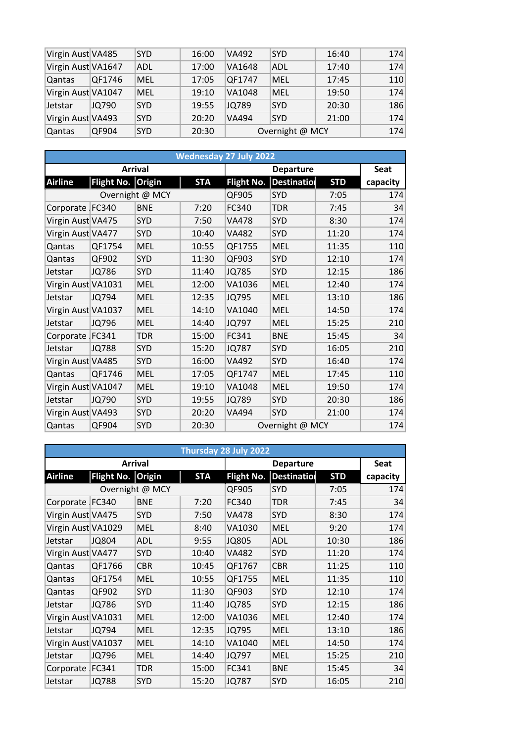| Virgin Aust VA485  |        | <b>SYD</b> | 16:00 | <b>VA492</b> | <b>SYD</b>      | 16:40 | 174 |
|--------------------|--------|------------|-------|--------------|-----------------|-------|-----|
| Virgin Aust VA1647 |        | ADL        | 17:00 | VA1648       | ADL             | 17:40 | 174 |
| Qantas             | QF1746 | MEL        | 17:05 | QF1747       | MEL             | 17:45 | 110 |
| Virgin Aust VA1047 |        | <b>MEL</b> | 19:10 | VA1048       | <b>MEL</b>      | 19:50 | 174 |
| Jetstar            | JQ790  | <b>SYD</b> | 19:55 | JQ789        | <b>SYD</b>      | 20:30 | 186 |
| Virgin Aust VA493  |        | <b>SYD</b> | 20:20 | <b>VA494</b> | <b>SYD</b>      | 21:00 | 174 |
| Qantas             | QF904  | <b>SYD</b> | 20:30 |              | Overnight @ MCY |       | 174 |

|                    |                   |                 |            | <b>Wednesday 27 July 2022</b> |                 |            |          |
|--------------------|-------------------|-----------------|------------|-------------------------------|-----------------|------------|----------|
|                    |                   | <b>Arrival</b>  |            |                               | <b>Seat</b>     |            |          |
| <b>Airline</b>     | Flight No. Origin |                 | <b>STA</b> | <b>Flight No.</b>             | Destinatio      | <b>STD</b> | capacity |
|                    |                   | Overnight @ MCY |            | QF905                         | <b>SYD</b>      | 7:05       | 174      |
| Corporate FC340    |                   | <b>BNE</b>      | 7:20       | FC340                         | <b>TDR</b>      | 7:45       | 34       |
| Virgin Aust VA475  |                   | SYD             | 7:50       | VA478                         | <b>SYD</b>      | 8:30       | 174      |
| Virgin Aust VA477  |                   | <b>SYD</b>      | 10:40      | <b>VA482</b>                  | <b>SYD</b>      | 11:20      | 174      |
| Qantas             | QF1754            | <b>MEL</b>      | 10:55      | QF1755                        | <b>MEL</b>      | 11:35      | 110      |
| Qantas             | QF902             | SYD             | 11:30      | QF903                         | <b>SYD</b>      | 12:10      | 174      |
| Jetstar            | JQ786             | <b>SYD</b>      | 11:40      | <b>JQ785</b>                  | <b>SYD</b>      | 12:15      | 186      |
| Virgin Aust VA1031 |                   | <b>MEL</b>      | 12:00      | VA1036                        | <b>MEL</b>      | 12:40      | 174      |
| Jetstar            | JQ794             | <b>MEL</b>      | 12:35      | <b>JQ795</b>                  | <b>MEL</b>      | 13:10      | 186      |
| Virgin Aust VA1037 |                   | <b>MEL</b>      | 14:10      | VA1040                        | <b>MEL</b>      | 14:50      | 174      |
| Jetstar            | JQ796             | <b>MEL</b>      | 14:40      | JQ797                         | <b>MEL</b>      | 15:25      | 210      |
| Corporate FC341    |                   | <b>TDR</b>      | 15:00      | FC341                         | <b>BNE</b>      | 15:45      | 34       |
| Jetstar            | <b>JQ788</b>      | SYD             | 15:20      | <b>JQ787</b>                  | SYD             | 16:05      | 210      |
| Virgin Aust VA485  |                   | <b>SYD</b>      | 16:00      | VA492                         | <b>SYD</b>      | 16:40      | 174      |
| Qantas             | QF1746            | <b>MEL</b>      | 17:05      | QF1747                        | <b>MEL</b>      | 17:45      | 110      |
| Virgin Aust VA1047 |                   | <b>MEL</b>      | 19:10      | VA1048                        | <b>MEL</b>      | 19:50      | 174      |
| Jetstar            | JQ790             | <b>SYD</b>      | 19:55      | <b>JQ789</b>                  | SYD             | 20:30      | 186      |
| Virgin Aust VA493  |                   | <b>SYD</b>      | 20:20      | VA494                         | <b>SYD</b>      | 21:00      | 174      |
| Qantas             | QF904             | <b>SYD</b>      | 20:30      |                               | Overnight @ MCY |            | 174      |

| Thursday 28 July 2022 |                   |                 |            |                   |                    |            |          |  |  |  |  |  |
|-----------------------|-------------------|-----------------|------------|-------------------|--------------------|------------|----------|--|--|--|--|--|
|                       |                   | <b>Arrival</b>  |            |                   | <b>Departure</b>   |            |          |  |  |  |  |  |
| <b>Airline</b>        | Flight No. Origin |                 | <b>STA</b> | <b>Flight No.</b> | <b>Destination</b> | <b>STD</b> | capacity |  |  |  |  |  |
|                       |                   | Overnight @ MCY |            | QF905             | <b>SYD</b>         | 7:05       | 174      |  |  |  |  |  |
| Corporate FC340       |                   | <b>BNE</b>      | 7:20       | FC340             | <b>TDR</b>         | 7:45       | 34       |  |  |  |  |  |
| Virgin Aust VA475     |                   | SYD             | 7:50       | VA478             | <b>SYD</b>         | 8:30       | 174      |  |  |  |  |  |
| Virgin Aust VA1029    |                   | <b>MEL</b>      | 8:40       | VA1030            | <b>MEL</b>         | 9:20       | 174      |  |  |  |  |  |
| Jetstar               | <b>JQ804</b>      | <b>ADL</b>      | 9:55       | <b>JQ805</b>      | <b>ADL</b>         | 10:30      | 186      |  |  |  |  |  |
| Virgin Aust VA477     |                   | SYD             | 10:40      | VA482             | <b>SYD</b>         | 11:20      | 174      |  |  |  |  |  |
| Qantas                | QF1766            | <b>CBR</b>      | 10:45      | QF1767            | <b>CBR</b>         | 11:25      | 110      |  |  |  |  |  |
| Qantas                | QF1754            | <b>MEL</b>      | 10:55      | QF1755            | <b>MEL</b>         | 11:35      | 110      |  |  |  |  |  |
| Qantas                | QF902             | <b>SYD</b>      | 11:30      | QF903             | <b>SYD</b>         | 12:10      | 174      |  |  |  |  |  |
| Jetstar               | <b>JQ786</b>      | SYD             | 11:40      | <b>JQ785</b>      | <b>SYD</b>         | 12:15      | 186      |  |  |  |  |  |
| Virgin Aust VA1031    |                   | <b>MEL</b>      | 12:00      | VA1036            | <b>MEL</b>         | 12:40      | 174      |  |  |  |  |  |
| Jetstar               | JQ794             | <b>MEL</b>      | 12:35      | JQ795             | MEL                | 13:10      | 186      |  |  |  |  |  |
| Virgin Aust VA1037    |                   | <b>MEL</b>      | 14:10      | VA1040            | <b>MEL</b>         | 14:50      | 174      |  |  |  |  |  |
| Jetstar               | JQ796             | <b>MEL</b>      | 14:40      | JQ797             | MEL                | 15:25      | 210      |  |  |  |  |  |
| Corporate FC341       |                   | <b>TDR</b>      | 15:00      | FC341             | <b>BNE</b>         | 15:45      | 34       |  |  |  |  |  |
| Jetstar               | <b>JQ788</b>      | <b>SYD</b>      | 15:20      | <b>JQ787</b>      | <b>SYD</b>         | 16:05      | 210      |  |  |  |  |  |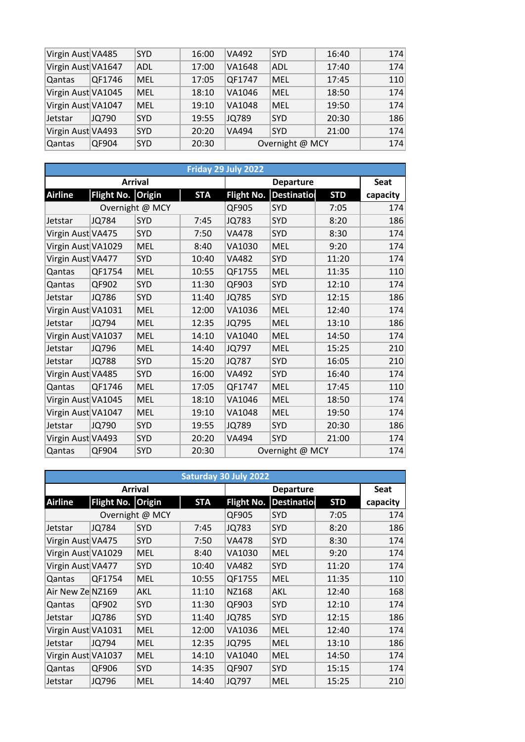| Virgin Aust VA485  |        | <b>SYD</b> | 16:00 | <b>VA492</b> | <b>SYD</b>      | 16:40 | 174 |
|--------------------|--------|------------|-------|--------------|-----------------|-------|-----|
| Virgin Aust VA1647 |        | <b>ADL</b> | 17:00 | VA1648       | <b>ADL</b>      | 17:40 | 174 |
| Qantas             | QF1746 | <b>MEL</b> | 17:05 | QF1747       | <b>MEL</b>      | 17:45 | 110 |
| Virgin Aust VA1045 |        | <b>MEL</b> | 18:10 | VA1046       | <b>MEL</b>      | 18:50 | 174 |
| Virgin Aust VA1047 |        | <b>MEL</b> | 19:10 | VA1048       | <b>MEL</b>      | 19:50 | 174 |
| Jetstar            | JQ790  | <b>SYD</b> | 19:55 | JQ789        | <b>SYD</b>      | 20:30 | 186 |
| Virgin Aust VA493  |        | <b>SYD</b> | 20:20 | <b>VA494</b> | <b>SYD</b>      | 21:00 | 174 |
| Qantas             | QF904  | <b>SYD</b> | 20:30 |              | Overnight @ MCY |       | 174 |

| Friday 29 July 2022 |                   |                 |            |                   |                    |            |          |  |  |  |  |
|---------------------|-------------------|-----------------|------------|-------------------|--------------------|------------|----------|--|--|--|--|
|                     |                   | <b>Arrival</b>  |            |                   | <b>Seat</b>        |            |          |  |  |  |  |
| <b>Airline</b>      | Flight No. Origin |                 | <b>STA</b> | <b>Flight No.</b> | <b>Destination</b> | <b>STD</b> | capacity |  |  |  |  |
|                     |                   | Overnight @ MCY |            | QF905             | <b>SYD</b>         | 7:05       | 174      |  |  |  |  |
| Jetstar             | <b>JQ784</b>      | SYD             | 7:45       | <b>JQ783</b>      | <b>SYD</b>         | 8:20       | 186      |  |  |  |  |
| Virgin Aust VA475   |                   | <b>SYD</b>      | 7:50       | <b>VA478</b>      | <b>SYD</b>         | 8:30       | 174      |  |  |  |  |
| Virgin Aust VA1029  |                   | <b>MEL</b>      | 8:40       | VA1030            | <b>MEL</b>         | 9:20       | 174      |  |  |  |  |
| Virgin Aust VA477   |                   | SYD             | 10:40      | <b>VA482</b>      | SYD                | 11:20      | 174      |  |  |  |  |
| Qantas              | QF1754            | <b>MEL</b>      | 10:55      | QF1755            | <b>MEL</b>         | 11:35      | 110      |  |  |  |  |
| Qantas              | QF902             | <b>SYD</b>      | 11:30      | QF903             | SYD                | 12:10      | 174      |  |  |  |  |
| Jetstar             | JQ786             | <b>SYD</b>      | 11:40      | <b>JQ785</b>      | <b>SYD</b>         | 12:15      | 186      |  |  |  |  |
| Virgin Aust VA1031  |                   | <b>MEL</b>      | 12:00      | VA1036            | <b>MEL</b>         | 12:40      | 174      |  |  |  |  |
| Jetstar             | JQ794             | <b>MEL</b>      | 12:35      | <b>JQ795</b>      | <b>MEL</b>         | 13:10      | 186      |  |  |  |  |
| Virgin Aust VA1037  |                   | <b>MEL</b>      | 14:10      | VA1040            | <b>MEL</b>         | 14:50      | 174      |  |  |  |  |
| Jetstar             | JQ796             | <b>MEL</b>      | 14:40      | JQ797             | <b>MEL</b>         | 15:25      | 210      |  |  |  |  |
| Jetstar             | <b>JQ788</b>      | <b>SYD</b>      | 15:20      | <b>JQ787</b>      | <b>SYD</b>         | 16:05      | 210      |  |  |  |  |
| Virgin Aust VA485   |                   | <b>SYD</b>      | 16:00      | <b>VA492</b>      | SYD                | 16:40      | 174      |  |  |  |  |
| Qantas              | QF1746            | <b>MEL</b>      | 17:05      | QF1747            | <b>MEL</b>         | 17:45      | 110      |  |  |  |  |
| Virgin Aust VA1045  |                   | <b>MEL</b>      | 18:10      | VA1046            | <b>MEL</b>         | 18:50      | 174      |  |  |  |  |
| Virgin Aust VA1047  |                   | <b>MEL</b>      | 19:10      | VA1048            | <b>MEL</b>         | 19:50      | 174      |  |  |  |  |
| Jetstar             | JQ790             | <b>SYD</b>      | 19:55      | <b>JQ789</b>      | <b>SYD</b>         | 20:30      | 186      |  |  |  |  |
| Virgin Aust VA493   |                   | <b>SYD</b>      | 20:20      | <b>VA494</b>      | SYD                | 21:00      | 174      |  |  |  |  |
| Qantas              | QF904             | <b>SYD</b>      | 20:30      |                   | Overnight @ MCY    |            | 174      |  |  |  |  |

| <b>Saturday 30 July 2022</b> |                   |            |            |                  |             |            |          |  |  |
|------------------------------|-------------------|------------|------------|------------------|-------------|------------|----------|--|--|
| <b>Arrival</b>               |                   |            |            | <b>Departure</b> |             |            | Seat     |  |  |
| <b>Airline</b>               | Flight No. Origin |            | <b>STA</b> | Flight No.       | Destination | <b>STD</b> | capacity |  |  |
| Overnight @ MCY              |                   |            |            | QF905            | <b>SYD</b>  | 7:05       | 174      |  |  |
| Jetstar                      | JQ784             | <b>SYD</b> | 7:45       | JQ783            | <b>SYD</b>  | 8:20       | 186      |  |  |
| Virgin Aust VA475            |                   | <b>SYD</b> | 7:50       | <b>VA478</b>     | <b>SYD</b>  | 8:30       | 174      |  |  |
| Virgin Aust VA1029           |                   | <b>MEL</b> | 8:40       | VA1030           | <b>MEL</b>  | 9:20       | 174      |  |  |
| Virgin Aust VA477            |                   | SYD        | 10:40      | VA482            | <b>SYD</b>  | 11:20      | 174      |  |  |
| Qantas                       | QF1754            | <b>MEL</b> | 10:55      | QF1755           | <b>MEL</b>  | 11:35      | 110      |  |  |
| Air New Ze NZ169             |                   | AKL        | 11:10      | NZ168            | AKL         | 12:40      | 168      |  |  |
| Qantas                       | QF902             | <b>SYD</b> | 11:30      | QF903            | <b>SYD</b>  | 12:10      | 174      |  |  |
| Jetstar                      | JQ786             | <b>SYD</b> | 11:40      | JQ785            | <b>SYD</b>  | 12:15      | 186      |  |  |
| Virgin Aust VA1031           |                   | <b>MEL</b> | 12:00      | VA1036           | <b>MEL</b>  | 12:40      | 174      |  |  |
| Jetstar                      | JQ794             | <b>MEL</b> | 12:35      | JQ795            | <b>MEL</b>  | 13:10      | 186      |  |  |
| Virgin Aust VA1037           |                   | <b>MEL</b> | 14:10      | VA1040           | <b>MEL</b>  | 14:50      | 174      |  |  |
| Qantas                       | QF906             | SYD        | 14:35      | QF907            | <b>SYD</b>  | 15:15      | 174      |  |  |
| Jetstar                      | JQ796             | <b>MEL</b> | 14:40      | JQ797            | <b>MEL</b>  | 15:25      | 210      |  |  |